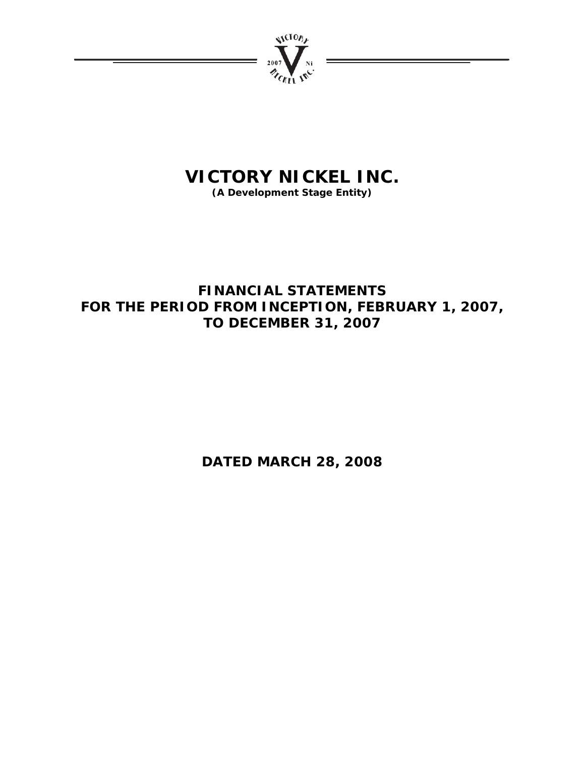

# **VICTORY NICKEL INC.**

**(A Development Stage Entity)** 

## **FINANCIAL STATEMENTS FOR THE PERIOD FROM INCEPTION, FEBRUARY 1, 2007, TO DECEMBER 31, 2007**

**DATED MARCH 28, 2008**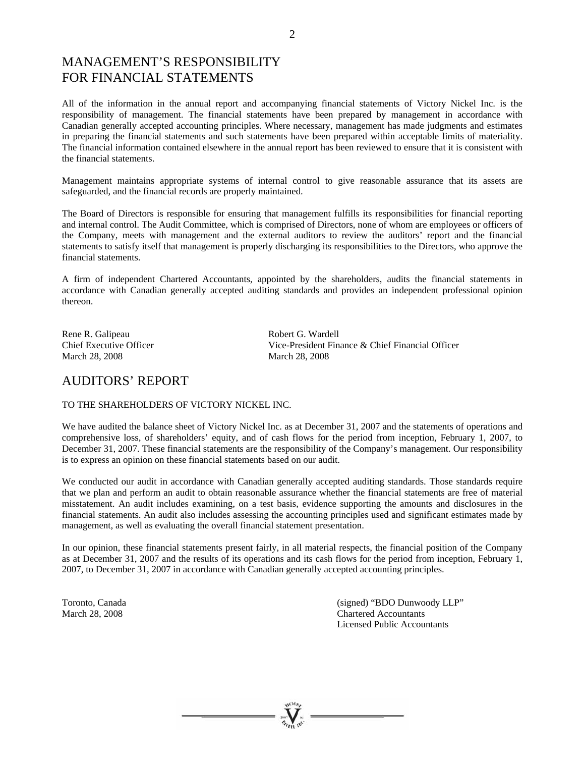## MANAGEMENT'S RESPONSIBILITY FOR FINANCIAL STATEMENTS

All of the information in the annual report and accompanying financial statements of Victory Nickel Inc. is the responsibility of management. The financial statements have been prepared by management in accordance with Canadian generally accepted accounting principles. Where necessary, management has made judgments and estimates in preparing the financial statements and such statements have been prepared within acceptable limits of materiality. The financial information contained elsewhere in the annual report has been reviewed to ensure that it is consistent with the financial statements.

Management maintains appropriate systems of internal control to give reasonable assurance that its assets are safeguarded, and the financial records are properly maintained.

The Board of Directors is responsible for ensuring that management fulfills its responsibilities for financial reporting and internal control. The Audit Committee, which is comprised of Directors, none of whom are employees or officers of the Company, meets with management and the external auditors to review the auditors' report and the financial statements to satisfy itself that management is properly discharging its responsibilities to the Directors, who approve the financial statements.

A firm of independent Chartered Accountants, appointed by the shareholders, audits the financial statements in accordance with Canadian generally accepted auditing standards and provides an independent professional opinion thereon.

Rene R. Galipeau Robert G. Wardell March 28, 2008 March 28, 2008

Chief Executive Officer Vice-President Finance & Chief Financial Officer

## AUDITORS' REPORT

#### TO THE SHAREHOLDERS OF VICTORY NICKEL INC.

We have audited the balance sheet of Victory Nickel Inc. as at December 31, 2007 and the statements of operations and comprehensive loss, of shareholders' equity, and of cash flows for the period from inception, February 1, 2007, to December 31, 2007. These financial statements are the responsibility of the Company's management. Our responsibility is to express an opinion on these financial statements based on our audit.

We conducted our audit in accordance with Canadian generally accepted auditing standards. Those standards require that we plan and perform an audit to obtain reasonable assurance whether the financial statements are free of material misstatement. An audit includes examining, on a test basis, evidence supporting the amounts and disclosures in the financial statements. An audit also includes assessing the accounting principles used and significant estimates made by management, as well as evaluating the overall financial statement presentation.

In our opinion, these financial statements present fairly, in all material respects, the financial position of the Company as at December 31, 2007 and the results of its operations and its cash flows for the period from inception, February 1, 2007, to December 31, 2007 in accordance with Canadian generally accepted accounting principles.

Toronto, Canada (signed) "BDO Dunwoody LLP" March 28, 2008 Chartered Accountants Licensed Public Accountants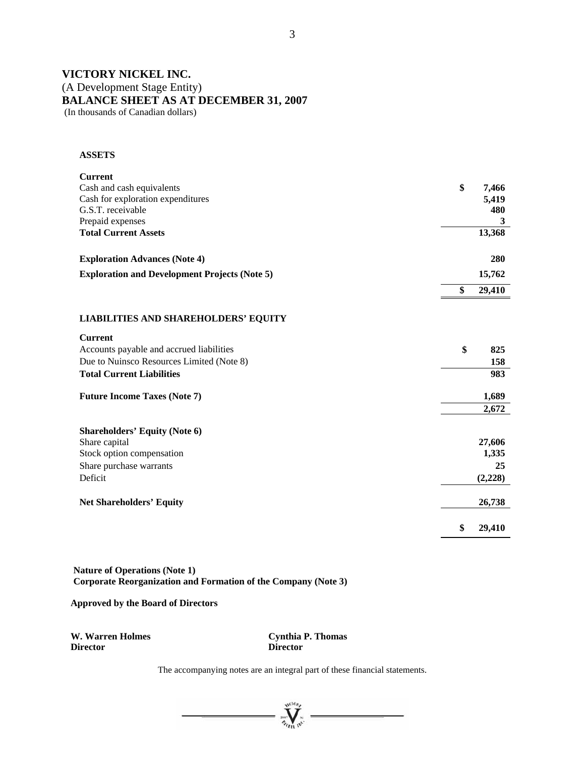### **VICTORY NICKEL INC.**  (A Development Stage Entity) **BALANCE SHEET AS AT DECEMBER 31, 2007**  (In thousands of Canadian dollars)

#### **ASSETS**

| <b>Current</b>                                       |              |
|------------------------------------------------------|--------------|
| Cash and cash equivalents                            | \$<br>7,466  |
| Cash for exploration expenditures                    | 5,419        |
| G.S.T. receivable                                    | 480          |
| Prepaid expenses                                     | 3            |
| <b>Total Current Assets</b>                          | 13,368       |
| <b>Exploration Advances (Note 4)</b>                 | 280          |
| <b>Exploration and Development Projects (Note 5)</b> | 15,762       |
|                                                      | \$<br>29,410 |
| <b>LIABILITIES AND SHAREHOLDERS' EQUITY</b>          |              |
| <b>Current</b>                                       |              |
| Accounts payable and accrued liabilities             | \$<br>825    |
| Due to Nuinsco Resources Limited (Note 8)            | 158          |
| <b>Total Current Liabilities</b>                     | 983          |
| <b>Future Income Taxes (Note 7)</b>                  | 1,689        |
|                                                      | 2,672        |
| <b>Shareholders' Equity (Note 6)</b>                 |              |
| Share capital                                        | 27,606       |
| Stock option compensation                            | 1,335        |
| Share purchase warrants                              | 25           |
| Deficit                                              | (2,228)      |
| <b>Net Shareholders' Equity</b>                      | 26,738       |
|                                                      | \$<br>29,410 |

**Nature of Operations (Note 1) Corporate Reorganization and Formation of the Company (Note 3)** 

**Approved by the Board of Directors** 

| W. Warren Holmes |  |
|------------------|--|
| <b>Director</b>  |  |

**Cynthia P. Thomas Director Director** 

 $= \sum_{\substack{m,\mathbf{v}\\ \text{with } m}} \sum_{\substack{m,\mathbf{v}\\ \text{with } m}} \mathbf{v}$ 

The accompanying notes are an integral part of these financial statements.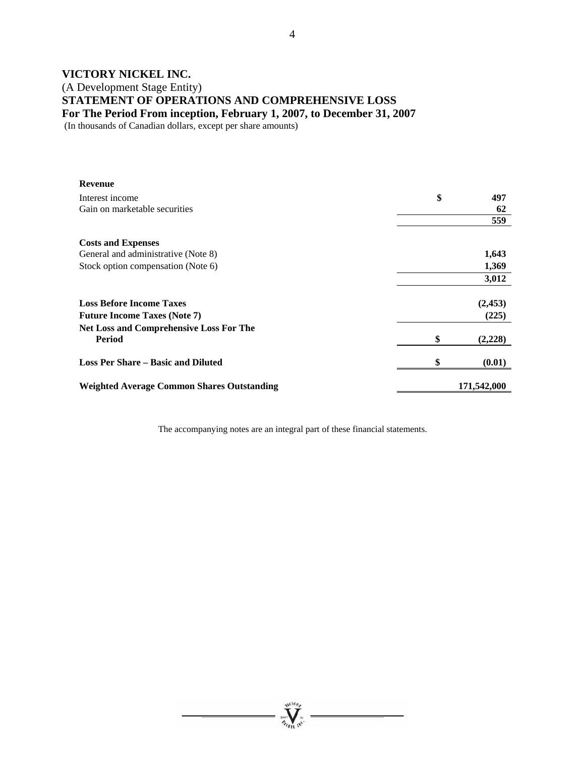## **VICTORY NICKEL INC.**

## (A Development Stage Entity) **STATEMENT OF OPERATIONS AND COMPREHENSIVE LOSS For The Period From inception, February 1, 2007, to December 31, 2007**

(In thousands of Canadian dollars, except per share amounts)

| <b>Revenue</b>                                           |               |
|----------------------------------------------------------|---------------|
| Interest income                                          | \$<br>497     |
| Gain on marketable securities                            | 62            |
|                                                          | 559           |
| <b>Costs and Expenses</b>                                |               |
| General and administrative (Note 8)                      | 1,643         |
| Stock option compensation (Note 6)                       | 1,369         |
|                                                          | 3,012         |
| <b>Loss Before Income Taxes</b>                          | (2, 453)      |
| <b>Future Income Taxes (Note 7)</b>                      | (225)         |
| <b>Net Loss and Comprehensive Loss For The</b><br>Period | \$<br>(2,228) |
| <b>Loss Per Share – Basic and Diluted</b>                | \$<br>(0.01)  |
| <b>Weighted Average Common Shares Outstanding</b>        | 171,542,000   |

The accompanying notes are an integral part of these financial statements.

Arcro<sup>v</sup>  $\sum_{\gamma_{\alpha}}$ 

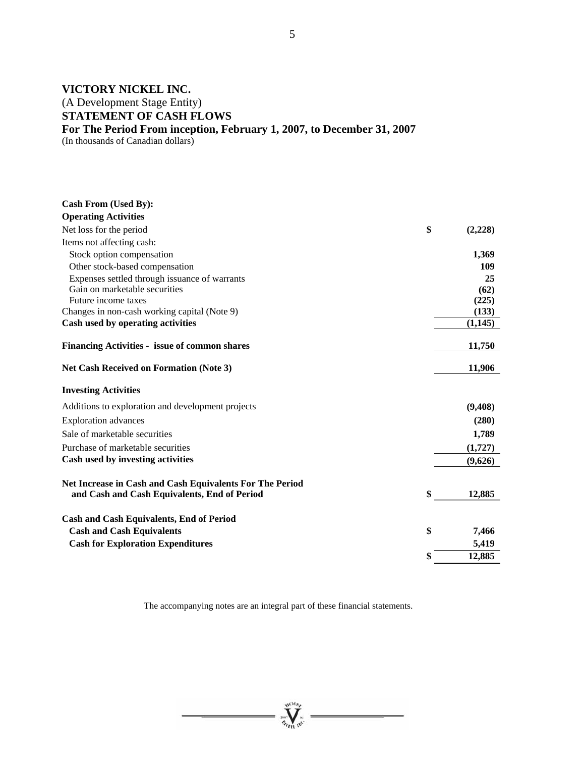### **VICTORY NICKEL INC.**

## (A Development Stage Entity) **STATEMENT OF CASH FLOWS For The Period From inception, February 1, 2007, to December 31, 2007**

(In thousands of Canadian dollars)

| <b>Cash From (Used By):</b>                              |               |
|----------------------------------------------------------|---------------|
| <b>Operating Activities</b>                              |               |
| Net loss for the period                                  | \$<br>(2,228) |
| Items not affecting cash:                                |               |
| Stock option compensation                                | 1,369         |
| Other stock-based compensation                           | 109           |
| Expenses settled through issuance of warrants            | 25            |
| Gain on marketable securities                            | (62)          |
| Future income taxes                                      | (225)         |
| Changes in non-cash working capital (Note 9)             | (133)         |
| Cash used by operating activities                        | (1,145)       |
| Financing Activities - issue of common shares            | 11,750        |
| <b>Net Cash Received on Formation (Note 3)</b>           | 11,906        |
| <b>Investing Activities</b>                              |               |
| Additions to exploration and development projects        | (9,408)       |
| <b>Exploration</b> advances                              | (280)         |
| Sale of marketable securities                            | 1,789         |
| Purchase of marketable securities                        | (1,727)       |
| Cash used by investing activities                        | (9,626)       |
| Net Increase in Cash and Cash Equivalents For The Period |               |
| and Cash and Cash Equivalents, End of Period             | \$<br>12,885  |
|                                                          |               |
| <b>Cash and Cash Equivalents, End of Period</b>          |               |
| <b>Cash and Cash Equivalents</b>                         | \$<br>7,466   |
| <b>Cash for Exploration Expenditures</b>                 | 5,419         |
|                                                          | \$<br>12,885  |

The accompanying notes are an integral part of these financial statements.

 $\sum_{m\in\mathbb{N}}\sum_{i=1}^{n}\sum_{j=1}^{n}$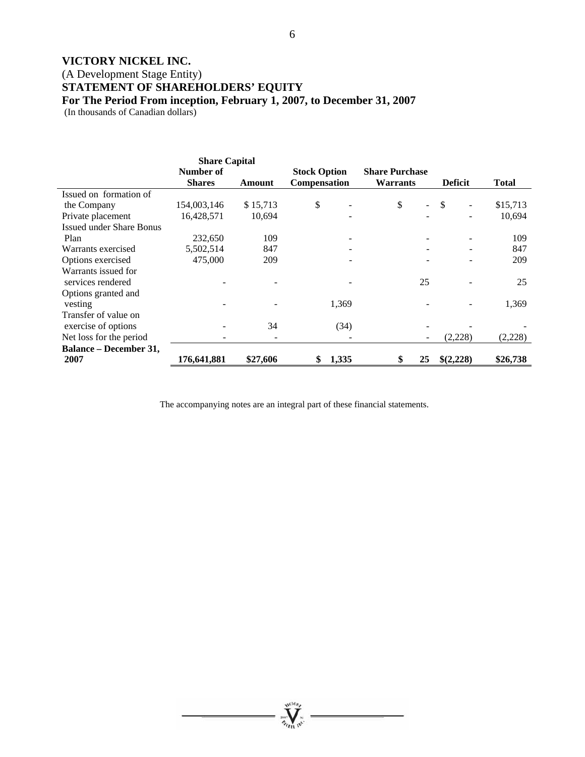## **VICTORY NICKEL INC.**  (A Development Stage Entity) **STATEMENT OF SHAREHOLDERS' EQUITY For The Period From inception, February 1, 2007, to December 31, 2007**

(In thousands of Canadian dollars)

|                                 | <b>Share Capital</b> |          |                     |                                |                                 |              |
|---------------------------------|----------------------|----------|---------------------|--------------------------------|---------------------------------|--------------|
|                                 | Number of            |          | <b>Stock Option</b> | <b>Share Purchase</b>          |                                 |              |
|                                 | <b>Shares</b>        | Amount   | Compensation        | Warrants                       | <b>Deficit</b>                  | <b>Total</b> |
| Issued on formation of          |                      |          |                     |                                |                                 |              |
| the Company                     | 154,003,146          | \$15,713 | \$                  | \$<br>$\overline{\phantom{0}}$ | -\$<br>$\overline{\phantom{0}}$ | \$15,713     |
| Private placement               | 16,428,571           | 10,694   |                     |                                | $\qquad \qquad \blacksquare$    | 10,694       |
| <b>Issued under Share Bonus</b> |                      |          |                     |                                |                                 |              |
| Plan                            | 232,650              | 109      |                     |                                |                                 | 109          |
| Warrants exercised              | 5,502,514            | 847      |                     |                                |                                 | 847          |
| Options exercised               | 475,000              | 209      |                     |                                |                                 | 209          |
| Warrants issued for             |                      |          |                     |                                |                                 |              |
| services rendered               |                      |          |                     | 25                             |                                 | 25           |
| Options granted and             |                      |          |                     |                                |                                 |              |
| vesting                         |                      |          | 1,369               |                                |                                 | 1,369        |
| Transfer of value on            |                      |          |                     |                                |                                 |              |
| exercise of options             |                      | 34       | (34)                |                                |                                 |              |
| Net loss for the period         |                      |          |                     | $\overline{\phantom{a}}$       | (2,228)                         | (2,228)      |
| <b>Balance – December 31,</b>   |                      |          |                     |                                |                                 |              |
| 2007                            | 176,641,881          | \$27,606 | 1,335               | 25<br>\$                       | \$(2,228)                       | \$26,738     |

The accompanying notes are an integral part of these financial statements.

*Matteries* 

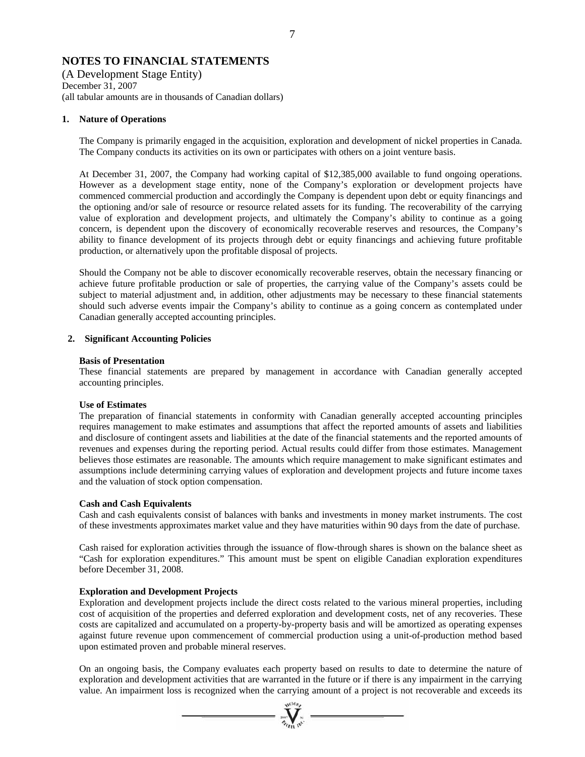## **NOTES TO FINANCIAL STATEMENTS**

(A Development Stage Entity) December 31, 2007 (all tabular amounts are in thousands of Canadian dollars)

#### **1. Nature of Operations**

The Company is primarily engaged in the acquisition, exploration and development of nickel properties in Canada. The Company conducts its activities on its own or participates with others on a joint venture basis.

At December 31, 2007, the Company had working capital of \$12,385,000 available to fund ongoing operations. However as a development stage entity, none of the Company's exploration or development projects have commenced commercial production and accordingly the Company is dependent upon debt or equity financings and the optioning and/or sale of resource or resource related assets for its funding. The recoverability of the carrying value of exploration and development projects, and ultimately the Company's ability to continue as a going concern, is dependent upon the discovery of economically recoverable reserves and resources, the Company's ability to finance development of its projects through debt or equity financings and achieving future profitable production, or alternatively upon the profitable disposal of projects.

Should the Company not be able to discover economically recoverable reserves, obtain the necessary financing or achieve future profitable production or sale of properties, the carrying value of the Company's assets could be subject to material adjustment and, in addition, other adjustments may be necessary to these financial statements should such adverse events impair the Company's ability to continue as a going concern as contemplated under Canadian generally accepted accounting principles.

#### **2. Significant Accounting Policies**

#### **Basis of Presentation**

These financial statements are prepared by management in accordance with Canadian generally accepted accounting principles.

#### **Use of Estimates**

The preparation of financial statements in conformity with Canadian generally accepted accounting principles requires management to make estimates and assumptions that affect the reported amounts of assets and liabilities and disclosure of contingent assets and liabilities at the date of the financial statements and the reported amounts of revenues and expenses during the reporting period. Actual results could differ from those estimates. Management believes those estimates are reasonable. The amounts which require management to make significant estimates and assumptions include determining carrying values of exploration and development projects and future income taxes and the valuation of stock option compensation.

#### **Cash and Cash Equivalents**

Cash and cash equivalents consist of balances with banks and investments in money market instruments. The cost of these investments approximates market value and they have maturities within 90 days from the date of purchase.

Cash raised for exploration activities through the issuance of flow-through shares is shown on the balance sheet as "Cash for exploration expenditures." This amount must be spent on eligible Canadian exploration expenditures before December 31, 2008.

#### **Exploration and Development Projects**

Exploration and development projects include the direct costs related to the various mineral properties, including cost of acquisition of the properties and deferred exploration and development costs, net of any recoveries. These costs are capitalized and accumulated on a property-by-property basis and will be amortized as operating expenses against future revenue upon commencement of commercial production using a unit-of-production method based upon estimated proven and probable mineral reserves.

On an ongoing basis, the Company evaluates each property based on results to date to determine the nature of exploration and development activities that are warranted in the future or if there is any impairment in the carrying value. An impairment loss is recognized when the carrying amount of a project is not recoverable and exceeds its

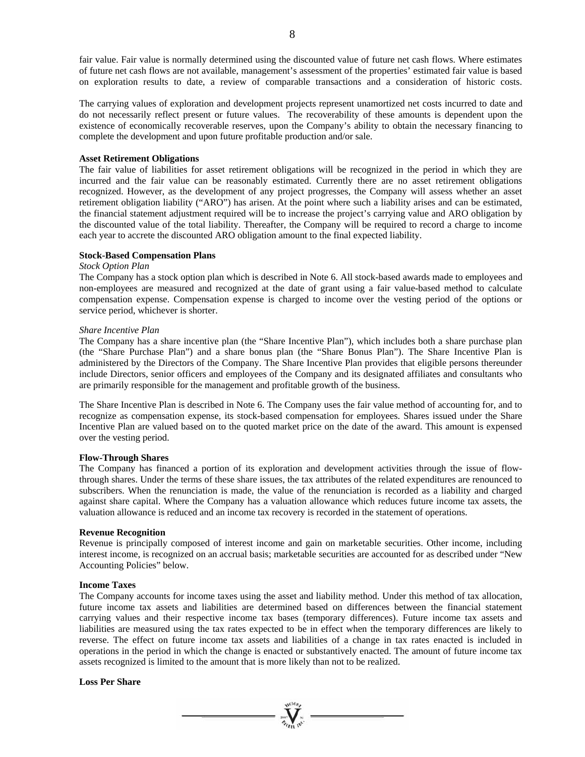8

fair value. Fair value is normally determined using the discounted value of future net cash flows. Where estimates of future net cash flows are not available, management's assessment of the properties' estimated fair value is based on exploration results to date, a review of comparable transactions and a consideration of historic costs.

The carrying values of exploration and development projects represent unamortized net costs incurred to date and do not necessarily reflect present or future values. The recoverability of these amounts is dependent upon the existence of economically recoverable reserves, upon the Company's ability to obtain the necessary financing to complete the development and upon future profitable production and/or sale.

#### **Asset Retirement Obligations**

The fair value of liabilities for asset retirement obligations will be recognized in the period in which they are incurred and the fair value can be reasonably estimated. Currently there are no asset retirement obligations recognized. However, as the development of any project progresses, the Company will assess whether an asset retirement obligation liability ("ARO") has arisen. At the point where such a liability arises and can be estimated, the financial statement adjustment required will be to increase the project's carrying value and ARO obligation by the discounted value of the total liability. Thereafter, the Company will be required to record a charge to income each year to accrete the discounted ARO obligation amount to the final expected liability.

#### **Stock-Based Compensation Plans**

#### *Stock Option Plan*

The Company has a stock option plan which is described in Note 6. All stock-based awards made to employees and non-employees are measured and recognized at the date of grant using a fair value-based method to calculate compensation expense. Compensation expense is charged to income over the vesting period of the options or service period, whichever is shorter.

#### *Share Incentive Plan*

The Company has a share incentive plan (the "Share Incentive Plan"), which includes both a share purchase plan (the "Share Purchase Plan") and a share bonus plan (the "Share Bonus Plan"). The Share Incentive Plan is administered by the Directors of the Company. The Share Incentive Plan provides that eligible persons thereunder include Directors, senior officers and employees of the Company and its designated affiliates and consultants who are primarily responsible for the management and profitable growth of the business.

The Share Incentive Plan is described in Note 6. The Company uses the fair value method of accounting for, and to recognize as compensation expense, its stock-based compensation for employees. Shares issued under the Share Incentive Plan are valued based on to the quoted market price on the date of the award. This amount is expensed over the vesting period.

#### **Flow-Through Shares**

The Company has financed a portion of its exploration and development activities through the issue of flowthrough shares. Under the terms of these share issues, the tax attributes of the related expenditures are renounced to subscribers. When the renunciation is made, the value of the renunciation is recorded as a liability and charged against share capital. Where the Company has a valuation allowance which reduces future income tax assets, the valuation allowance is reduced and an income tax recovery is recorded in the statement of operations.

#### **Revenue Recognition**

Revenue is principally composed of interest income and gain on marketable securities. Other income, including interest income, is recognized on an accrual basis; marketable securities are accounted for as described under "New Accounting Policies" below.

#### **Income Taxes**

The Company accounts for income taxes using the asset and liability method. Under this method of tax allocation, future income tax assets and liabilities are determined based on differences between the financial statement carrying values and their respective income tax bases (temporary differences). Future income tax assets and liabilities are measured using the tax rates expected to be in effect when the temporary differences are likely to reverse. The effect on future income tax assets and liabilities of a change in tax rates enacted is included in operations in the period in which the change is enacted or substantively enacted. The amount of future income tax assets recognized is limited to the amount that is more likely than not to be realized.

#### **Loss Per Share**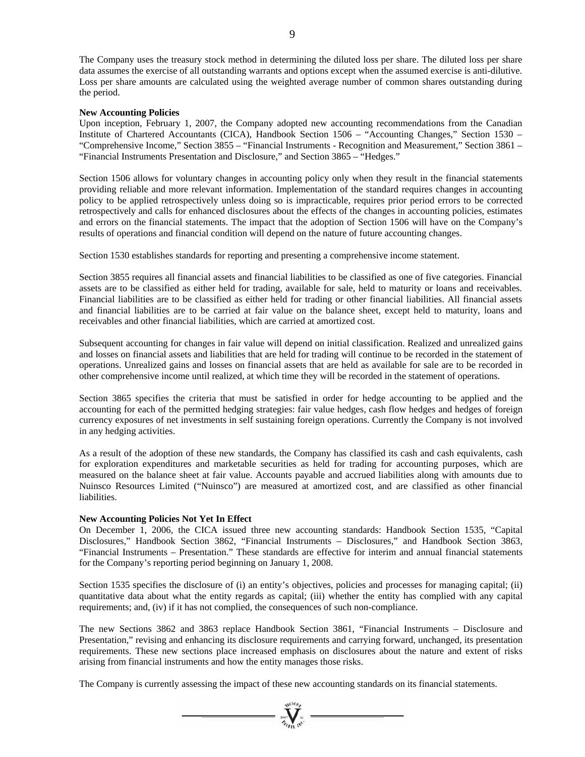The Company uses the treasury stock method in determining the diluted loss per share. The diluted loss per share data assumes the exercise of all outstanding warrants and options except when the assumed exercise is anti-dilutive. Loss per share amounts are calculated using the weighted average number of common shares outstanding during the period.

#### **New Accounting Policies**

Upon inception, February 1, 2007, the Company adopted new accounting recommendations from the Canadian Institute of Chartered Accountants (CICA), Handbook Section 1506 – "Accounting Changes," Section 1530 – "Comprehensive Income," Section 3855 – "Financial Instruments - Recognition and Measurement," Section 3861 – "Financial Instruments Presentation and Disclosure," and Section 3865 – "Hedges."

Section 1506 allows for voluntary changes in accounting policy only when they result in the financial statements providing reliable and more relevant information. Implementation of the standard requires changes in accounting policy to be applied retrospectively unless doing so is impracticable, requires prior period errors to be corrected retrospectively and calls for enhanced disclosures about the effects of the changes in accounting policies, estimates and errors on the financial statements. The impact that the adoption of Section 1506 will have on the Company's results of operations and financial condition will depend on the nature of future accounting changes.

Section 1530 establishes standards for reporting and presenting a comprehensive income statement.

Section 3855 requires all financial assets and financial liabilities to be classified as one of five categories. Financial assets are to be classified as either held for trading, available for sale, held to maturity or loans and receivables. Financial liabilities are to be classified as either held for trading or other financial liabilities. All financial assets and financial liabilities are to be carried at fair value on the balance sheet, except held to maturity, loans and receivables and other financial liabilities, which are carried at amortized cost.

Subsequent accounting for changes in fair value will depend on initial classification. Realized and unrealized gains and losses on financial assets and liabilities that are held for trading will continue to be recorded in the statement of operations. Unrealized gains and losses on financial assets that are held as available for sale are to be recorded in other comprehensive income until realized, at which time they will be recorded in the statement of operations.

Section 3865 specifies the criteria that must be satisfied in order for hedge accounting to be applied and the accounting for each of the permitted hedging strategies: fair value hedges, cash flow hedges and hedges of foreign currency exposures of net investments in self sustaining foreign operations. Currently the Company is not involved in any hedging activities.

As a result of the adoption of these new standards, the Company has classified its cash and cash equivalents, cash for exploration expenditures and marketable securities as held for trading for accounting purposes, which are measured on the balance sheet at fair value. Accounts payable and accrued liabilities along with amounts due to Nuinsco Resources Limited ("Nuinsco") are measured at amortized cost, and are classified as other financial liabilities.

#### **New Accounting Policies Not Yet In Effect**

On December 1, 2006, the CICA issued three new accounting standards: Handbook Section 1535, "Capital Disclosures," Handbook Section 3862, "Financial Instruments – Disclosures," and Handbook Section 3863, "Financial Instruments – Presentation." These standards are effective for interim and annual financial statements for the Company's reporting period beginning on January 1, 2008.

Section 1535 specifies the disclosure of (i) an entity's objectives, policies and processes for managing capital; (ii) quantitative data about what the entity regards as capital; (iii) whether the entity has complied with any capital requirements; and, (iv) if it has not complied, the consequences of such non-compliance.

The new Sections 3862 and 3863 replace Handbook Section 3861, "Financial Instruments – Disclosure and Presentation," revising and enhancing its disclosure requirements and carrying forward, unchanged, its presentation requirements. These new sections place increased emphasis on disclosures about the nature and extent of risks arising from financial instruments and how the entity manages those risks.

The Company is currently assessing the impact of these new accounting standards on its financial statements.

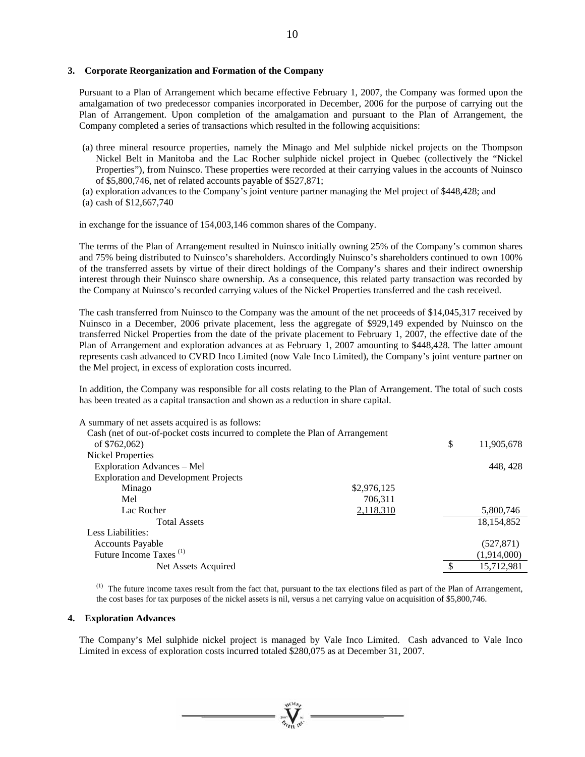#### **3. Corporate Reorganization and Formation of the Company**

Pursuant to a Plan of Arrangement which became effective February 1, 2007, the Company was formed upon the amalgamation of two predecessor companies incorporated in December, 2006 for the purpose of carrying out the Plan of Arrangement. Upon completion of the amalgamation and pursuant to the Plan of Arrangement, the Company completed a series of transactions which resulted in the following acquisitions:

- (a) three mineral resource properties, namely the Minago and Mel sulphide nickel projects on the Thompson Nickel Belt in Manitoba and the Lac Rocher sulphide nickel project in Quebec (collectively the "Nickel Properties"), from Nuinsco. These properties were recorded at their carrying values in the accounts of Nuinsco of \$5,800,746, net of related accounts payable of \$527,871;
- (a) exploration advances to the Company's joint venture partner managing the Mel project of \$448,428; and
- (a) cash of \$12,667,740

in exchange for the issuance of 154,003,146 common shares of the Company.

The terms of the Plan of Arrangement resulted in Nuinsco initially owning 25% of the Company's common shares and 75% being distributed to Nuinsco's shareholders. Accordingly Nuinsco's shareholders continued to own 100% of the transferred assets by virtue of their direct holdings of the Company's shares and their indirect ownership interest through their Nuinsco share ownership. As a consequence, this related party transaction was recorded by the Company at Nuinsco's recorded carrying values of the Nickel Properties transferred and the cash received.

The cash transferred from Nuinsco to the Company was the amount of the net proceeds of \$14,045,317 received by Nuinsco in a December, 2006 private placement, less the aggregate of \$929,149 expended by Nuinsco on the transferred Nickel Properties from the date of the private placement to February 1, 2007, the effective date of the Plan of Arrangement and exploration advances at as February 1, 2007 amounting to \$448,428. The latter amount represents cash advanced to CVRD Inco Limited (now Vale Inco Limited), the Company's joint venture partner on the Mel project, in excess of exploration costs incurred.

In addition, the Company was responsible for all costs relating to the Plan of Arrangement. The total of such costs has been treated as a capital transaction and shown as a reduction in share capital.

| A summary of net assets acquired is as follows: |  |
|-------------------------------------------------|--|
|-------------------------------------------------|--|

| Cash (net of out-of-pocket costs incurred to complete the Plan of Arrangement<br>of \$762,062) |             | \$<br>11,905,678 |
|------------------------------------------------------------------------------------------------|-------------|------------------|
| <b>Nickel Properties</b>                                                                       |             |                  |
| Exploration Advances – Mel                                                                     |             | 448, 428         |
| <b>Exploration and Development Projects</b>                                                    |             |                  |
| Minago                                                                                         | \$2,976,125 |                  |
| Mel                                                                                            | 706,311     |                  |
| Lac Rocher                                                                                     | 2,118,310   | 5,800,746        |
| <b>Total Assets</b>                                                                            |             | 18,154,852       |
| Less Liabilities:                                                                              |             |                  |
| <b>Accounts Payable</b>                                                                        |             | (527, 871)       |
| Future Income Taxes <sup>(1)</sup>                                                             |             | (1,914,000)      |
| Net Assets Acquired                                                                            |             | 15,712,981       |
|                                                                                                |             |                  |

(1) The future income taxes result from the fact that, pursuant to the tax elections filed as part of the Plan of Arrangement, the cost bases for tax purposes of the nickel assets is nil, versus a net carrying value on acquisition of \$5,800,746.

#### **4. Exploration Advances**

The Company's Mel sulphide nickel project is managed by Vale Inco Limited. Cash advanced to Vale Inco Limited in excess of exploration costs incurred totaled \$280,075 as at December 31, 2007.

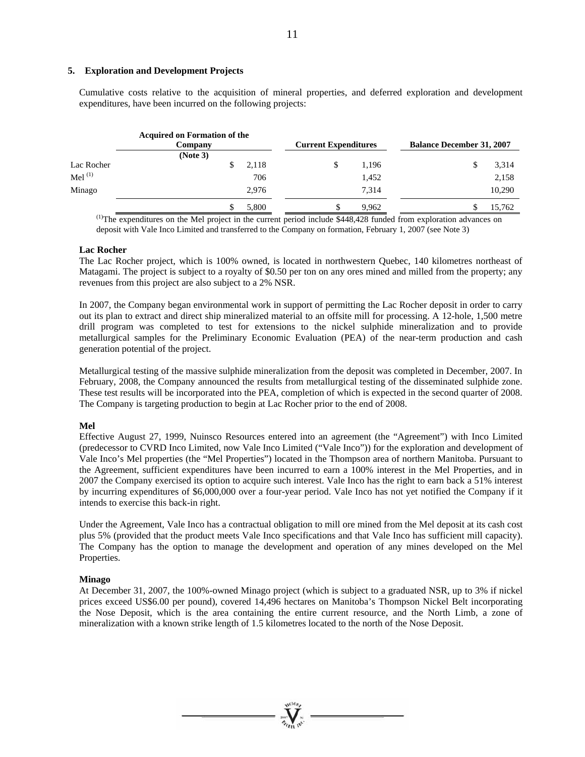#### **5. Exploration and Development Projects**

 Cumulative costs relative to the acquisition of mineral properties, and deferred exploration and development expenditures, have been incurred on the following projects:

|              | <b>Acquired on Formation of the</b><br>Company |       | <b>Current Expenditures</b> |       | <b>Balance December 31, 2007</b> |        |
|--------------|------------------------------------------------|-------|-----------------------------|-------|----------------------------------|--------|
| Lac Rocher   | (Note 3)                                       | 2,118 | \$                          | 1,196 |                                  | 3,314  |
| Mel $^{(1)}$ |                                                | 706   |                             | 1,452 |                                  | 2,158  |
| Minago       |                                                | 2.976 |                             | 7.314 |                                  | 10,290 |
|              | S                                              | 5,800 | \$.                         | 9,962 |                                  | 15,762 |

(1)The expenditures on the Mel project in the current period include \$448,428 funded from exploration advances on deposit with Vale Inco Limited and transferred to the Company on formation, February 1, 2007 (see Note 3)

#### **Lac Rocher**

The Lac Rocher project, which is 100% owned, is located in northwestern Quebec, 140 kilometres northeast of Matagami. The project is subject to a royalty of \$0.50 per ton on any ores mined and milled from the property; any revenues from this project are also subject to a 2% NSR.

In 2007, the Company began environmental work in support of permitting the Lac Rocher deposit in order to carry out its plan to extract and direct ship mineralized material to an offsite mill for processing. A 12-hole, 1,500 metre drill program was completed to test for extensions to the nickel sulphide mineralization and to provide metallurgical samples for the Preliminary Economic Evaluation (PEA) of the near-term production and cash generation potential of the project.

Metallurgical testing of the massive sulphide mineralization from the deposit was completed in December, 2007. In February, 2008, the Company announced the results from metallurgical testing of the disseminated sulphide zone. These test results will be incorporated into the PEA, completion of which is expected in the second quarter of 2008. The Company is targeting production to begin at Lac Rocher prior to the end of 2008.

#### **Mel**

Effective August 27, 1999, Nuinsco Resources entered into an agreement (the "Agreement") with Inco Limited (predecessor to CVRD Inco Limited, now Vale Inco Limited ("Vale Inco")) for the exploration and development of Vale Inco's Mel properties (the "Mel Properties") located in the Thompson area of northern Manitoba. Pursuant to the Agreement, sufficient expenditures have been incurred to earn a 100% interest in the Mel Properties, and in 2007 the Company exercised its option to acquire such interest. Vale Inco has the right to earn back a 51% interest by incurring expenditures of \$6,000,000 over a four-year period. Vale Inco has not yet notified the Company if it intends to exercise this back-in right.

Under the Agreement, Vale Inco has a contractual obligation to mill ore mined from the Mel deposit at its cash cost plus 5% (provided that the product meets Vale Inco specifications and that Vale Inco has sufficient mill capacity). The Company has the option to manage the development and operation of any mines developed on the Mel Properties.

#### **Minago**

At December 31, 2007, the 100%-owned Minago project (which is subject to a graduated NSR, up to 3% if nickel prices exceed US\$6.00 per pound), covered 14,496 hectares on Manitoba's Thompson Nickel Belt incorporating the Nose Deposit, which is the area containing the entire current resource, and the North Limb, a zone of mineralization with a known strike length of 1.5 kilometres located to the north of the Nose Deposit.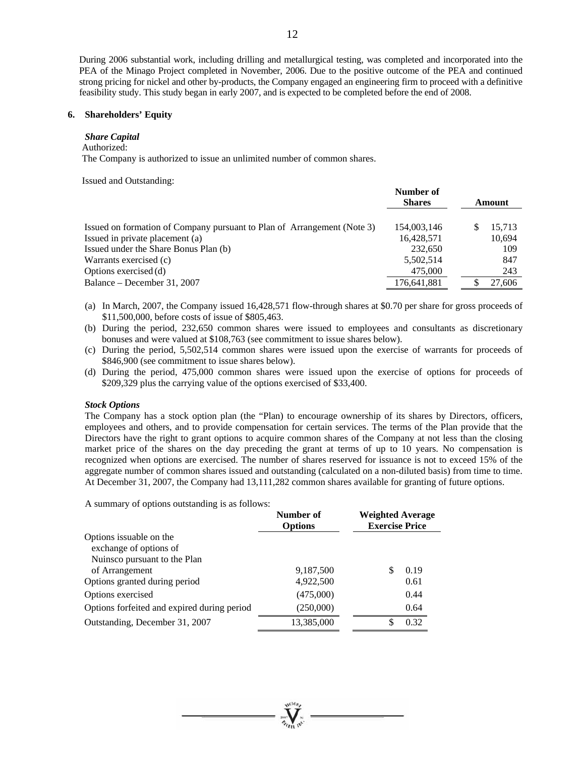During 2006 substantial work, including drilling and metallurgical testing, was completed and incorporated into the PEA of the Minago Project completed in November, 2006. Due to the positive outcome of the PEA and continued strong pricing for nickel and other by-products, the Company engaged an engineering firm to proceed with a definitive feasibility study. This study began in early 2007, and is expected to be completed before the end of 2008.

#### **6. Shareholders' Equity**

#### *Share Capital*

#### Authorized:

The Company is authorized to issue an unlimited number of common shares.

Issued and Outstanding:

|                                                                         | Number of<br><b>Shares</b> |  | Amount |
|-------------------------------------------------------------------------|----------------------------|--|--------|
| Issued on formation of Company pursuant to Plan of Arrangement (Note 3) | 154,003,146                |  | 15,713 |
| Issued in private placement (a)                                         | 16,428,571                 |  | 10,694 |
| Issued under the Share Bonus Plan (b)                                   | 232,650                    |  | 109    |
| Warrants exercised (c)                                                  | 5,502,514                  |  | 847    |
| Options exercised (d)                                                   | 475,000                    |  | 243    |
| Balance – December 31, 2007                                             | 176,641,881                |  | 27,606 |

- (a) In March, 2007, the Company issued 16,428,571 flow-through shares at \$0.70 per share for gross proceeds of \$11,500,000, before costs of issue of \$805,463.
- (b) During the period, 232,650 common shares were issued to employees and consultants as discretionary bonuses and were valued at \$108,763 (see commitment to issue shares below).
- (c) During the period, 5,502,514 common shares were issued upon the exercise of warrants for proceeds of \$846,900 (see commitment to issue shares below).
- (d) During the period, 475,000 common shares were issued upon the exercise of options for proceeds of \$209,329 plus the carrying value of the options exercised of \$33,400.

#### *Stock Options*

The Company has a stock option plan (the "Plan) to encourage ownership of its shares by Directors, officers, employees and others, and to provide compensation for certain services. The terms of the Plan provide that the Directors have the right to grant options to acquire common shares of the Company at not less than the closing market price of the shares on the day preceding the grant at terms of up to 10 years. No compensation is recognized when options are exercised. The number of shares reserved for issuance is not to exceed 15% of the aggregate number of common shares issued and outstanding (calculated on a non-diluted basis) from time to time. At December 31, 2007, the Company had 13,111,282 common shares available for granting of future options.

A summary of options outstanding is as follows:

|                                             | Number of<br><b>Options</b> | <b>Weighted Average</b><br><b>Exercise Price</b> |
|---------------------------------------------|-----------------------------|--------------------------------------------------|
| Options is suable on the                    |                             |                                                  |
| exchange of options of                      |                             |                                                  |
| Nuinsco pursuant to the Plan                |                             |                                                  |
| of Arrangement                              | 9,187,500                   | 0.19                                             |
| Options granted during period               | 4,922,500                   | 0.61                                             |
| Options exercised                           | (475,000)                   | 0.44                                             |
| Options forfeited and expired during period | (250,000)                   | 0.64                                             |
| Outstanding, December 31, 2007              | 13,385,000                  | 0.32                                             |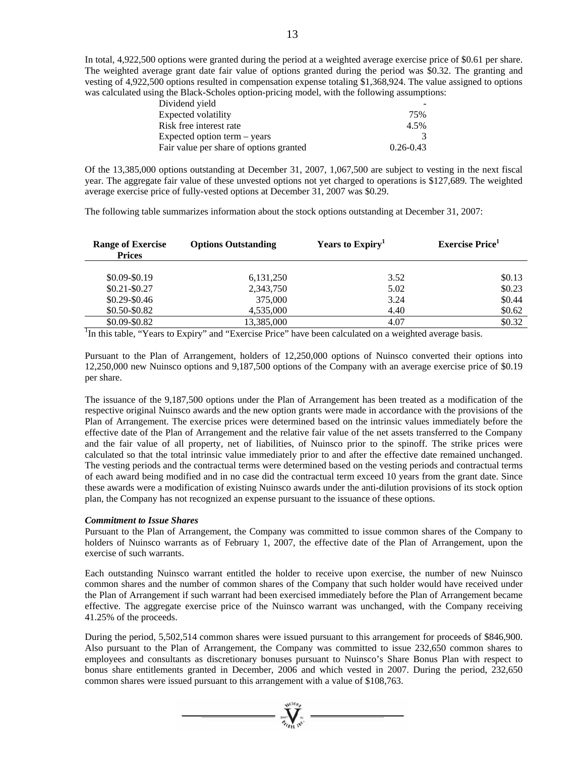In total, 4,922,500 options were granted during the period at a weighted average exercise price of \$0.61 per share. The weighted average grant date fair value of options granted during the period was \$0.32. The granting and vesting of 4,922,500 options resulted in compensation expense totaling \$1,368,924. The value assigned to options was calculated using the Black-Scholes option-pricing model, with the following assumptions:

| Dividend yield                          |               |
|-----------------------------------------|---------------|
| Expected volatility                     | 75%           |
| Risk free interest rate                 | 4.5%          |
| Expected option term $-$ years          |               |
| Fair value per share of options granted | $0.26 - 0.43$ |

Of the 13,385,000 options outstanding at December 31, 2007, 1,067,500 are subject to vesting in the next fiscal year. The aggregate fair value of these unvested options not yet charged to operations is \$127,689. The weighted average exercise price of fully-vested options at December 31, 2007 was \$0.29.

The following table summarizes information about the stock options outstanding at December 31, 2007:

| <b>Range of Exercise</b><br><b>Prices</b> | <b>Options Outstanding</b>                                                                                           | Years to Expiry <sup>1</sup> | <b>Exercise Price</b> <sup>1</sup> |
|-------------------------------------------|----------------------------------------------------------------------------------------------------------------------|------------------------------|------------------------------------|
| $$0.09 - $0.19$                           | 6,131,250                                                                                                            | 3.52                         | \$0.13                             |
| $$0.21 - $0.27$                           | 2,343,750                                                                                                            | 5.02                         | \$0.23                             |
| $$0.29 - $0.46$                           | 375,000                                                                                                              | 3.24                         | \$0.44                             |
| \$0.50-\$0.82                             | 4,535,000                                                                                                            | 4.40                         | \$0.62                             |
| $$0.09 - $0.82$                           | 13,385,000                                                                                                           | 4.07                         | \$0.32                             |
|                                           | <sup>1</sup> In this table, "Years to Expiry" and "Exercise Price" have been calculated on a weighted average basis. |                              |                                    |

Pursuant to the Plan of Arrangement, holders of 12,250,000 options of Nuinsco converted their options into 12,250,000 new Nuinsco options and 9,187,500 options of the Company with an average exercise price of \$0.19 per share.

The issuance of the 9,187,500 options under the Plan of Arrangement has been treated as a modification of the respective original Nuinsco awards and the new option grants were made in accordance with the provisions of the Plan of Arrangement. The exercise prices were determined based on the intrinsic values immediately before the effective date of the Plan of Arrangement and the relative fair value of the net assets transferred to the Company and the fair value of all property, net of liabilities, of Nuinsco prior to the spinoff. The strike prices were calculated so that the total intrinsic value immediately prior to and after the effective date remained unchanged. The vesting periods and the contractual terms were determined based on the vesting periods and contractual terms of each award being modified and in no case did the contractual term exceed 10 years from the grant date. Since these awards were a modification of existing Nuinsco awards under the anti-dilution provisions of its stock option plan, the Company has not recognized an expense pursuant to the issuance of these options.

#### *Commitment to Issue Shares*

Pursuant to the Plan of Arrangement, the Company was committed to issue common shares of the Company to holders of Nuinsco warrants as of February 1, 2007, the effective date of the Plan of Arrangement, upon the exercise of such warrants.

Each outstanding Nuinsco warrant entitled the holder to receive upon exercise, the number of new Nuinsco common shares and the number of common shares of the Company that such holder would have received under the Plan of Arrangement if such warrant had been exercised immediately before the Plan of Arrangement became effective. The aggregate exercise price of the Nuinsco warrant was unchanged, with the Company receiving 41.25% of the proceeds.

During the period, 5,502,514 common shares were issued pursuant to this arrangement for proceeds of \$846,900. Also pursuant to the Plan of Arrangement, the Company was committed to issue 232,650 common shares to employees and consultants as discretionary bonuses pursuant to Nuinsco's Share Bonus Plan with respect to bonus share entitlements granted in December, 2006 and which vested in 2007. During the period, 232,650 common shares were issued pursuant to this arrangement with a value of \$108,763.

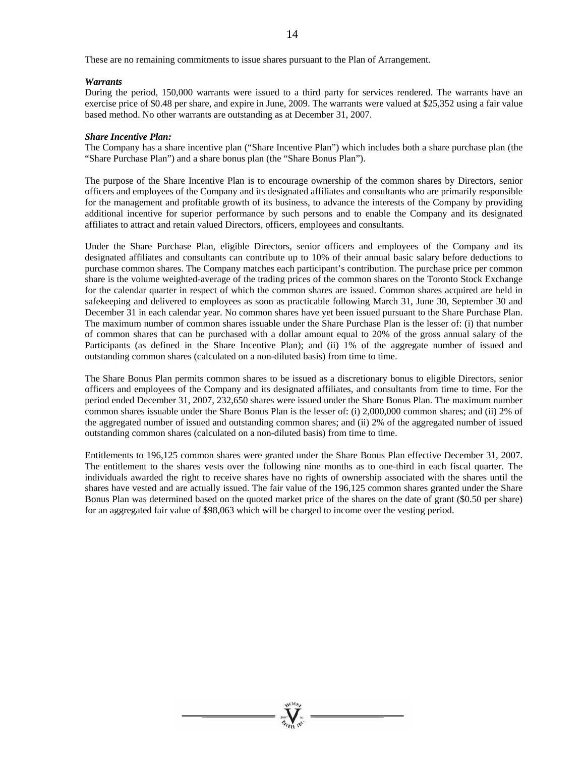These are no remaining commitments to issue shares pursuant to the Plan of Arrangement.

#### *Warrants*

During the period, 150,000 warrants were issued to a third party for services rendered. The warrants have an exercise price of \$0.48 per share, and expire in June, 2009. The warrants were valued at \$25,352 using a fair value based method. No other warrants are outstanding as at December 31, 2007.

#### *Share Incentive Plan:*

The Company has a share incentive plan ("Share Incentive Plan") which includes both a share purchase plan (the "Share Purchase Plan") and a share bonus plan (the "Share Bonus Plan").

The purpose of the Share Incentive Plan is to encourage ownership of the common shares by Directors, senior officers and employees of the Company and its designated affiliates and consultants who are primarily responsible for the management and profitable growth of its business, to advance the interests of the Company by providing additional incentive for superior performance by such persons and to enable the Company and its designated affiliates to attract and retain valued Directors, officers, employees and consultants.

Under the Share Purchase Plan, eligible Directors, senior officers and employees of the Company and its designated affiliates and consultants can contribute up to 10% of their annual basic salary before deductions to purchase common shares. The Company matches each participant's contribution. The purchase price per common share is the volume weighted-average of the trading prices of the common shares on the Toronto Stock Exchange for the calendar quarter in respect of which the common shares are issued. Common shares acquired are held in safekeeping and delivered to employees as soon as practicable following March 31, June 30, September 30 and December 31 in each calendar year. No common shares have yet been issued pursuant to the Share Purchase Plan. The maximum number of common shares issuable under the Share Purchase Plan is the lesser of: (i) that number of common shares that can be purchased with a dollar amount equal to 20% of the gross annual salary of the Participants (as defined in the Share Incentive Plan); and (ii) 1% of the aggregate number of issued and outstanding common shares (calculated on a non-diluted basis) from time to time.

The Share Bonus Plan permits common shares to be issued as a discretionary bonus to eligible Directors, senior officers and employees of the Company and its designated affiliates, and consultants from time to time. For the period ended December 31, 2007, 232,650 shares were issued under the Share Bonus Plan. The maximum number common shares issuable under the Share Bonus Plan is the lesser of: (i) 2,000,000 common shares; and (ii) 2% of the aggregated number of issued and outstanding common shares; and (ii) 2% of the aggregated number of issued outstanding common shares (calculated on a non-diluted basis) from time to time.

Entitlements to 196,125 common shares were granted under the Share Bonus Plan effective December 31, 2007. The entitlement to the shares vests over the following nine months as to one-third in each fiscal quarter. The individuals awarded the right to receive shares have no rights of ownership associated with the shares until the shares have vested and are actually issued. The fair value of the 196,125 common shares granted under the Share Bonus Plan was determined based on the quoted market price of the shares on the date of grant (\$0.50 per share) for an aggregated fair value of \$98,063 which will be charged to income over the vesting period.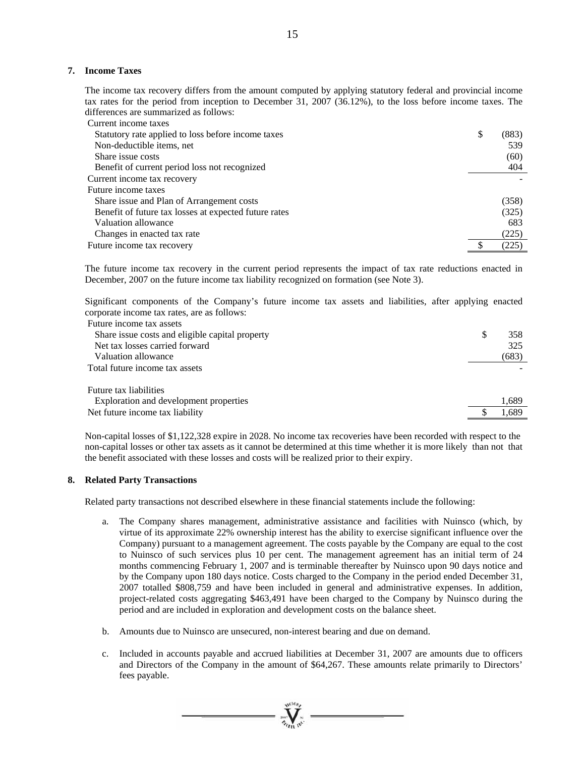#### **7. Income Taxes**

The income tax recovery differs from the amount computed by applying statutory federal and provincial income tax rates for the period from inception to December 31, 2007 (36.12%), to the loss before income taxes. The differences are summarized as follows:

| Current income taxes                                  |             |
|-------------------------------------------------------|-------------|
| Statutory rate applied to loss before income taxes    | \$<br>(883) |
| Non-deductible items, net                             | 539         |
| Share issue costs                                     | (60)        |
| Benefit of current period loss not recognized         | 404         |
| Current income tax recovery                           |             |
| Future income taxes                                   |             |
| Share issue and Plan of Arrangement costs             | (358)       |
| Benefit of future tax losses at expected future rates | (325)       |
| Valuation allowance                                   | 683         |
| Changes in enacted tax rate                           | (225)       |
| Future income tax recovery                            | (225)       |

The future income tax recovery in the current period represents the impact of tax rate reductions enacted in December, 2007 on the future income tax liability recognized on formation (see Note 3).

Significant components of the Company's future income tax assets and liabilities, after applying enacted corporate income tax rates, are as follows:

| Future income tax assets                        |       |  |
|-------------------------------------------------|-------|--|
| Share issue costs and eligible capital property | 358   |  |
| Net tax losses carried forward                  | 325   |  |
| Valuation allowance                             | (683) |  |
| Total future income tax assets                  |       |  |
| Future tax liabilities                          |       |  |
| Exploration and development properties          | .689  |  |

Net future income tax liability  $\qquad \qquad$  1,689

Non-capital losses of \$1,122,328 expire in 2028. No income tax recoveries have been recorded with respect to the non-capital losses or other tax assets as it cannot be determined at this time whether it is more likely than not that the benefit associated with these losses and costs will be realized prior to their expiry.

#### **8. Related Party Transactions**

Related party transactions not described elsewhere in these financial statements include the following:

- a. The Company shares management, administrative assistance and facilities with Nuinsco (which, by virtue of its approximate 22% ownership interest has the ability to exercise significant influence over the Company) pursuant to a management agreement. The costs payable by the Company are equal to the cost to Nuinsco of such services plus 10 per cent. The management agreement has an initial term of 24 months commencing February 1, 2007 and is terminable thereafter by Nuinsco upon 90 days notice and by the Company upon 180 days notice. Costs charged to the Company in the period ended December 31, 2007 totalled \$808,759 and have been included in general and administrative expenses. In addition, project-related costs aggregating \$463,491 have been charged to the Company by Nuinsco during the period and are included in exploration and development costs on the balance sheet.
- b. Amounts due to Nuinsco are unsecured, non-interest bearing and due on demand.
- c. Included in accounts payable and accrued liabilities at December 31, 2007 are amounts due to officers and Directors of the Company in the amount of \$64,267. These amounts relate primarily to Directors' fees payable.

 $\sum_{\alpha}$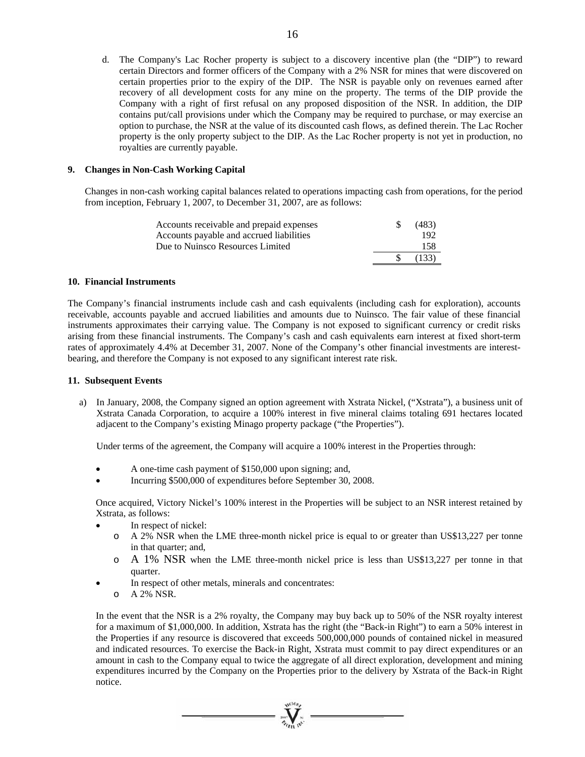d. The Company's Lac Rocher property is subject to a discovery incentive plan (the "DIP") to reward certain Directors and former officers of the Company with a 2% NSR for mines that were discovered on certain properties prior to the expiry of the DIP. The NSR is payable only on revenues earned after recovery of all development costs for any mine on the property. The terms of the DIP provide the Company with a right of first refusal on any proposed disposition of the NSR. In addition, the DIP contains put/call provisions under which the Company may be required to purchase, or may exercise an option to purchase, the NSR at the value of its discounted cash flows, as defined therein. The Lac Rocher property is the only property subject to the DIP. As the Lac Rocher property is not yet in production, no royalties are currently payable.

#### **9. Changes in Non-Cash Working Capital**

Changes in non-cash working capital balances related to operations impacting cash from operations, for the period from inception, February 1, 2007, to December 31, 2007, are as follows:

| Accounts receivable and prepaid expenses | <sup>\$</sup> | (483) |
|------------------------------------------|---------------|-------|
| Accounts payable and accrued liabilities |               | -192  |
| Due to Nuinsco Resources Limited         |               | 158   |
|                                          | -SS           | (133) |

#### **10. Financial Instruments**

The Company's financial instruments include cash and cash equivalents (including cash for exploration), accounts receivable, accounts payable and accrued liabilities and amounts due to Nuinsco. The fair value of these financial instruments approximates their carrying value. The Company is not exposed to significant currency or credit risks arising from these financial instruments. The Company's cash and cash equivalents earn interest at fixed short-term rates of approximately 4.4% at December 31, 2007. None of the Company's other financial investments are interestbearing, and therefore the Company is not exposed to any significant interest rate risk.

#### **11. Subsequent Events**

a) In January, 2008, the Company signed an option agreement with Xstrata Nickel, ("Xstrata"), a business unit of Xstrata Canada Corporation, to acquire a 100% interest in five mineral claims totaling 691 hectares located adjacent to the Company's existing Minago property package ("the Properties").

Under terms of the agreement, the Company will acquire a 100% interest in the Properties through:

- A one-time cash payment of \$150,000 upon signing; and,
- Incurring \$500,000 of expenditures before September 30, 2008.

Once acquired, Victory Nickel's 100% interest in the Properties will be subject to an NSR interest retained by Xstrata, as follows:

- In respect of nickel:
	- o A 2% NSR when the LME three-month nickel price is equal to or greater than US\$13,227 per tonne in that quarter; and,
	- $\circ$  A 1% NSR when the LME three-month nickel price is less than US\$13,227 per tonne in that quarter.
- In respect of other metals, minerals and concentrates:
	- o A 2% NSR.

In the event that the NSR is a 2% royalty, the Company may buy back up to 50% of the NSR royalty interest for a maximum of \$1,000,000. In addition, Xstrata has the right (the "Back-in Right") to earn a 50% interest in the Properties if any resource is discovered that exceeds 500,000,000 pounds of contained nickel in measured and indicated resources. To exercise the Back-in Right, Xstrata must commit to pay direct expenditures or an amount in cash to the Company equal to twice the aggregate of all direct exploration, development and mining expenditures incurred by the Company on the Properties prior to the delivery by Xstrata of the Back-in Right notice.

 $=\mathbf{v}$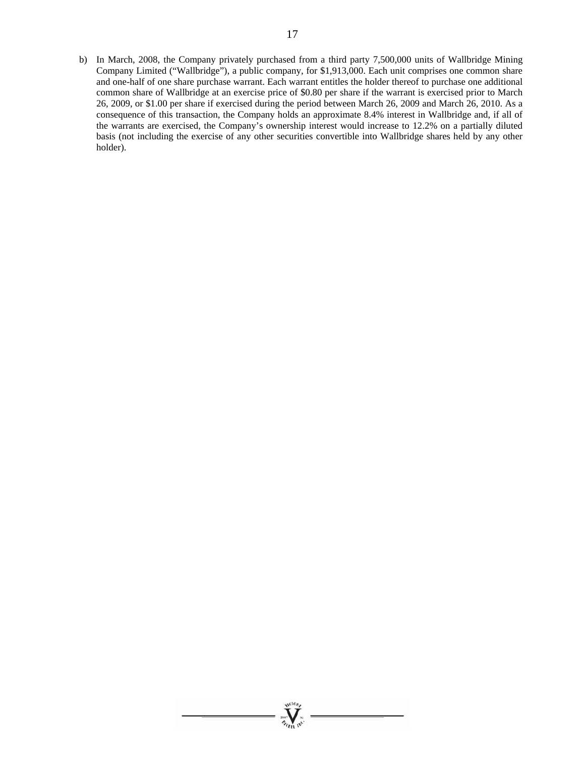b) In March, 2008, the Company privately purchased from a third party 7,500,000 units of Wallbridge Mining Company Limited ("Wallbridge"), a public company, for \$1,913,000. Each unit comprises one common share and one-half of one share purchase warrant. Each warrant entitles the holder thereof to purchase one additional common share of Wallbridge at an exercise price of \$0.80 per share if the warrant is exercised prior to March 26, 2009, or \$1.00 per share if exercised during the period between March 26, 2009 and March 26, 2010. As a consequence of this transaction, the Company holds an approximate 8.4% interest in Wallbridge and, if all of the warrants are exercised, the Company's ownership interest would increase to 12.2% on a partially diluted basis (not including the exercise of any other securities convertible into Wallbridge shares held by any other holder).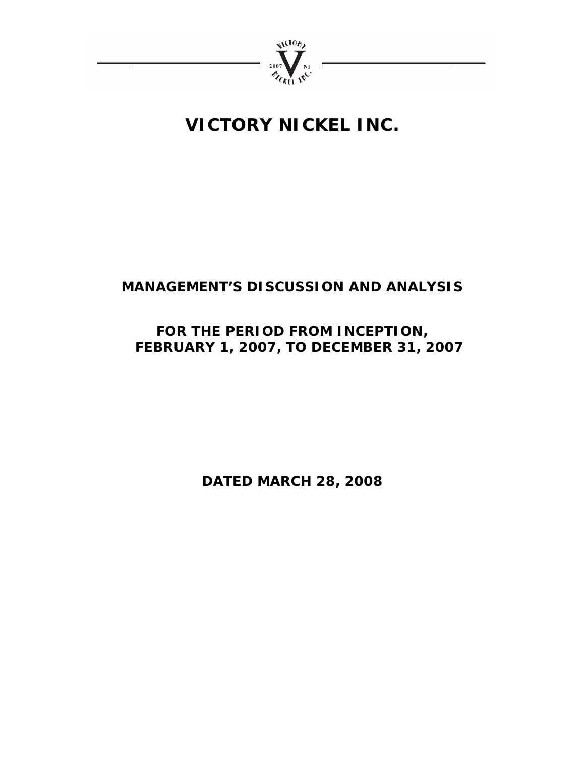

# **VICTORY NICKEL INC.**

# **MANAGEMENT'S DISCUSSION AND ANALYSIS**

## **FOR THE PERIOD FROM INCEPTION, FEBRUARY 1, 2007, TO DECEMBER 31, 2007**

**DATED MARCH 28, 2008**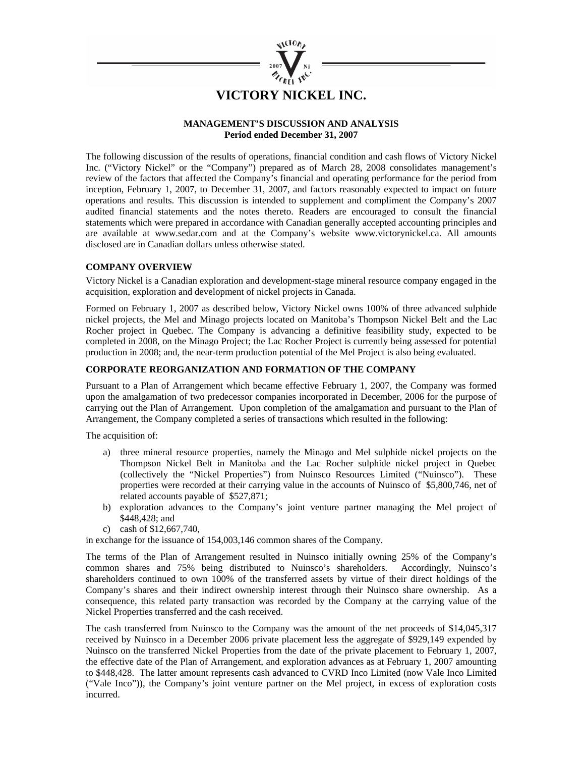

#### **MANAGEMENT'S DISCUSSION AND ANALYSIS Period ended December 31, 2007**

The following discussion of the results of operations, financial condition and cash flows of Victory Nickel Inc. ("Victory Nickel" or the "Company") prepared as of March 28, 2008 consolidates management's review of the factors that affected the Company's financial and operating performance for the period from inception, February 1, 2007, to December 31, 2007, and factors reasonably expected to impact on future operations and results. This discussion is intended to supplement and compliment the Company's 2007 audited financial statements and the notes thereto. Readers are encouraged to consult the financial statements which were prepared in accordance with Canadian generally accepted accounting principles and are available at www.sedar.com and at the Company's website www.victorynickel.ca. All amounts disclosed are in Canadian dollars unless otherwise stated.

#### **COMPANY OVERVIEW**

Victory Nickel is a Canadian exploration and development-stage mineral resource company engaged in the acquisition, exploration and development of nickel projects in Canada.

Formed on February 1, 2007 as described below, Victory Nickel owns 100% of three advanced sulphide nickel projects, the Mel and Minago projects located on Manitoba's Thompson Nickel Belt and the Lac Rocher project in Quebec. The Company is advancing a definitive feasibility study, expected to be completed in 2008, on the Minago Project; the Lac Rocher Project is currently being assessed for potential production in 2008; and, the near-term production potential of the Mel Project is also being evaluated.

#### **CORPORATE REORGANIZATION AND FORMATION OF THE COMPANY**

Pursuant to a Plan of Arrangement which became effective February 1, 2007, the Company was formed upon the amalgamation of two predecessor companies incorporated in December, 2006 for the purpose of carrying out the Plan of Arrangement. Upon completion of the amalgamation and pursuant to the Plan of Arrangement, the Company completed a series of transactions which resulted in the following:

The acquisition of:

- a) three mineral resource properties, namely the Minago and Mel sulphide nickel projects on the Thompson Nickel Belt in Manitoba and the Lac Rocher sulphide nickel project in Quebec (collectively the "Nickel Properties") from Nuinsco Resources Limited ("Nuinsco"). These properties were recorded at their carrying value in the accounts of Nuinsco of \$5,800,746, net of related accounts payable of \$527,871;
- b) exploration advances to the Company's joint venture partner managing the Mel project of \$448,428; and
- c) cash of \$12,667,740,

in exchange for the issuance of 154,003,146 common shares of the Company.

The terms of the Plan of Arrangement resulted in Nuinsco initially owning 25% of the Company's common shares and 75% being distributed to Nuinsco's shareholders. Accordingly, Nuinsco's common shares and 75% being distributed to Nuinsco's shareholders. shareholders continued to own 100% of the transferred assets by virtue of their direct holdings of the Company's shares and their indirect ownership interest through their Nuinsco share ownership. As a consequence, this related party transaction was recorded by the Company at the carrying value of the Nickel Properties transferred and the cash received.

The cash transferred from Nuinsco to the Company was the amount of the net proceeds of \$14,045,317 received by Nuinsco in a December 2006 private placement less the aggregate of \$929,149 expended by Nuinsco on the transferred Nickel Properties from the date of the private placement to February 1, 2007, the effective date of the Plan of Arrangement, and exploration advances as at February 1, 2007 amounting to \$448,428. The latter amount represents cash advanced to CVRD Inco Limited (now Vale Inco Limited ("Vale Inco")), the Company's joint venture partner on the Mel project, in excess of exploration costs incurred.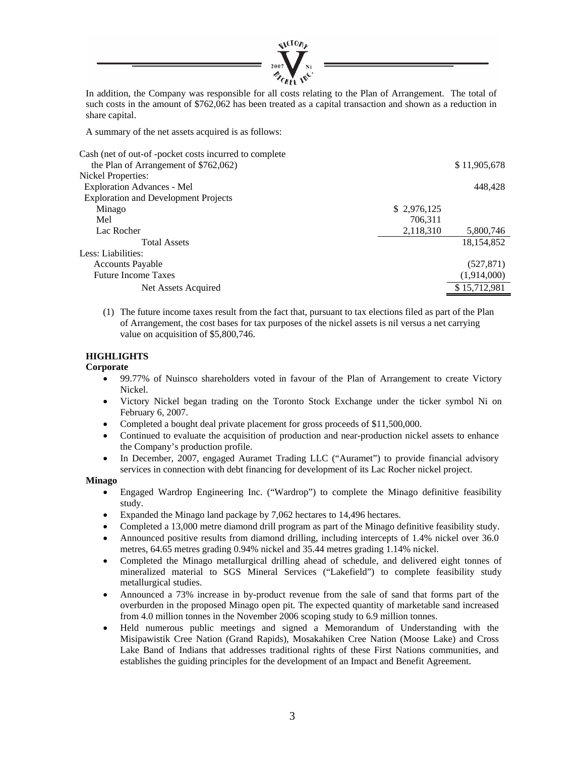

In addition, the Company was responsible for all costs relating to the Plan of Arrangement. The total of such costs in the amount of \$762,062 has been treated as a capital transaction and shown as a reduction in share capital.

A summary of the net assets acquired is as follows:

| Cash (net of out-of -pocket costs incurred to complete |             |              |
|--------------------------------------------------------|-------------|--------------|
| the Plan of Arrangement of \$762,062)                  |             | \$11,905,678 |
| Nickel Properties:                                     |             |              |
| <b>Exploration Advances - Mel</b>                      |             | 448,428      |
| <b>Exploration and Development Projects</b>            |             |              |
| Minago                                                 | \$2,976,125 |              |
| Mel                                                    | 706,311     |              |
| Lac Rocher                                             | 2,118,310   | 5,800,746    |
| <b>Total Assets</b>                                    |             | 18, 154, 852 |
| Less: Liabilities:                                     |             |              |
| <b>Accounts Payable</b>                                |             | (527, 871)   |
| <b>Future Income Taxes</b>                             |             | (1,914,000)  |
| Net Assets Acquired                                    |             | \$15,712,981 |

(1) The future income taxes result from the fact that, pursuant to tax elections filed as part of the Plan of Arrangement, the cost bases for tax purposes of the nickel assets is nil versus a net carrying value on acquisition of \$5,800,746.

#### **HIGHLIGHTS**

#### **Corporate**

- 99.77% of Nuinsco shareholders voted in favour of the Plan of Arrangement to create Victory Nickel.
- Victory Nickel began trading on the Toronto Stock Exchange under the ticker symbol Ni on February 6, 2007.
- Completed a bought deal private placement for gross proceeds of \$11,500,000.
- Continued to evaluate the acquisition of production and near-production nickel assets to enhance the Company's production profile.
- In December, 2007, engaged Auramet Trading LLC ("Auramet") to provide financial advisory services in connection with debt financing for development of its Lac Rocher nickel project.

#### **Minago**

- Engaged Wardrop Engineering Inc. ("Wardrop") to complete the Minago definitive feasibility study.
- Expanded the Minago land package by 7,062 hectares to 14,496 hectares.
- Completed a 13,000 metre diamond drill program as part of the Minago definitive feasibility study.
- Announced positive results from diamond drilling, including intercepts of 1.4% nickel over 36.0 metres, 64.65 metres grading 0.94% nickel and 35.44 metres grading 1.14% nickel.
- Completed the Minago metallurgical drilling ahead of schedule, and delivered eight tonnes of mineralized material to SGS Mineral Services ("Lakefield") to complete feasibility study metallurgical studies.
- Announced a 73% increase in by-product revenue from the sale of sand that forms part of the overburden in the proposed Minago open pit. The expected quantity of marketable sand increased from 4.0 million tonnes in the November 2006 scoping study to 6.9 million tonnes.
- Held numerous public meetings and signed a Memorandum of Understanding with the Misipawistik Cree Nation (Grand Rapids), Mosakahiken Cree Nation (Moose Lake) and Cross Lake Band of Indians that addresses traditional rights of these First Nations communities, and establishes the guiding principles for the development of an Impact and Benefit Agreement.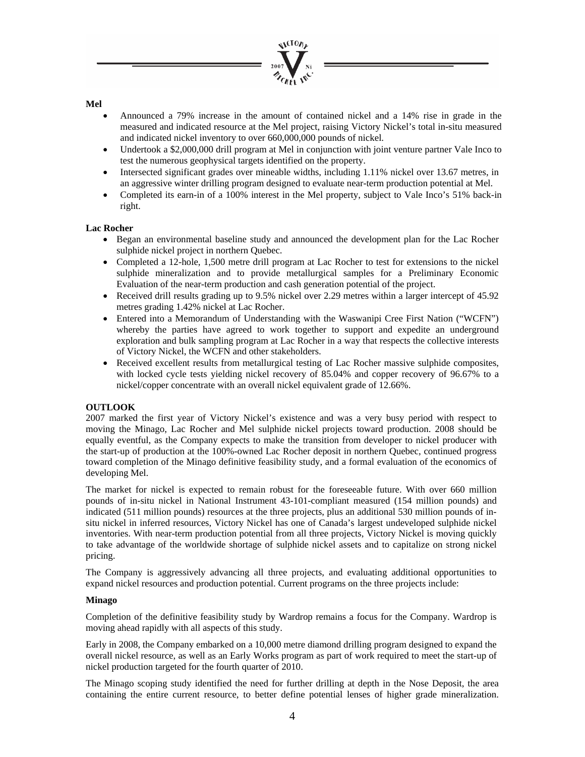

#### **Mel**

- Announced a 79% increase in the amount of contained nickel and a 14% rise in grade in the measured and indicated resource at the Mel project, raising Victory Nickel's total in-situ measured and indicated nickel inventory to over 660,000,000 pounds of nickel.
- Undertook a \$2,000,000 drill program at Mel in conjunction with joint venture partner Vale Inco to test the numerous geophysical targets identified on the property.
- Intersected significant grades over mineable widths, including 1.11% nickel over 13.67 metres, in an aggressive winter drilling program designed to evaluate near-term production potential at Mel.
- Completed its earn-in of a 100% interest in the Mel property, subject to Vale Inco's 51% back-in right.

#### **Lac Rocher**

- Began an environmental baseline study and announced the development plan for the Lac Rocher sulphide nickel project in northern Quebec.
- Completed a 12-hole, 1,500 metre drill program at Lac Rocher to test for extensions to the nickel sulphide mineralization and to provide metallurgical samples for a Preliminary Economic Evaluation of the near-term production and cash generation potential of the project.
- Received drill results grading up to 9.5% nickel over 2.29 metres within a larger intercept of 45.92 metres grading 1.42% nickel at Lac Rocher.
- Entered into a Memorandum of Understanding with the Waswanipi Cree First Nation ("WCFN") whereby the parties have agreed to work together to support and expedite an underground exploration and bulk sampling program at Lac Rocher in a way that respects the collective interests of Victory Nickel, the WCFN and other stakeholders.
- Received excellent results from metallurgical testing of Lac Rocher massive sulphide composites, with locked cycle tests yielding nickel recovery of 85.04% and copper recovery of 96.67% to a nickel/copper concentrate with an overall nickel equivalent grade of 12.66%.

#### **OUTLOOK**

2007 marked the first year of Victory Nickel's existence and was a very busy period with respect to moving the Minago, Lac Rocher and Mel sulphide nickel projects toward production. 2008 should be equally eventful, as the Company expects to make the transition from developer to nickel producer with the start-up of production at the 100%-owned Lac Rocher deposit in northern Quebec, continued progress toward completion of the Minago definitive feasibility study, and a formal evaluation of the economics of developing Mel.

The market for nickel is expected to remain robust for the foreseeable future. With over 660 million pounds of in-situ nickel in National Instrument 43-101-compliant measured (154 million pounds) and indicated (511 million pounds) resources at the three projects, plus an additional 530 million pounds of insitu nickel in inferred resources, Victory Nickel has one of Canada's largest undeveloped sulphide nickel inventories. With near-term production potential from all three projects, Victory Nickel is moving quickly to take advantage of the worldwide shortage of sulphide nickel assets and to capitalize on strong nickel pricing.

The Company is aggressively advancing all three projects, and evaluating additional opportunities to expand nickel resources and production potential. Current programs on the three projects include:

#### **Minago**

Completion of the definitive feasibility study by Wardrop remains a focus for the Company. Wardrop is moving ahead rapidly with all aspects of this study.

Early in 2008, the Company embarked on a 10,000 metre diamond drilling program designed to expand the overall nickel resource, as well as an Early Works program as part of work required to meet the start-up of nickel production targeted for the fourth quarter of 2010.

The Minago scoping study identified the need for further drilling at depth in the Nose Deposit, the area containing the entire current resource, to better define potential lenses of higher grade mineralization.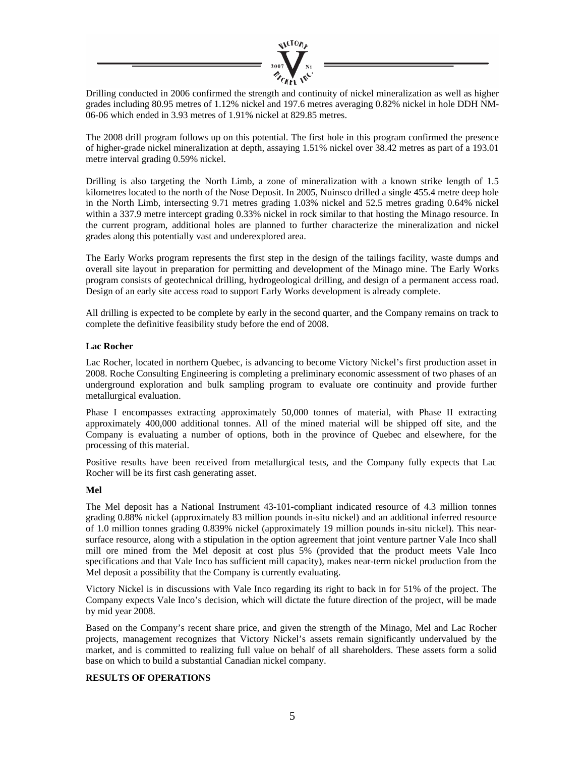

Drilling conducted in 2006 confirmed the strength and continuity of nickel mineralization as well as higher grades including 80.95 metres of 1.12% nickel and 197.6 metres averaging 0.82% nickel in hole DDH NM-06-06 which ended in 3.93 metres of 1.91% nickel at 829.85 metres.

The 2008 drill program follows up on this potential. The first hole in this program confirmed the presence of higher-grade nickel mineralization at depth, assaying 1.51% nickel over 38.42 metres as part of a 193.01 metre interval grading 0.59% nickel.

Drilling is also targeting the North Limb, a zone of mineralization with a known strike length of 1.5 kilometres located to the north of the Nose Deposit. In 2005, Nuinsco drilled a single 455.4 metre deep hole in the North Limb, intersecting 9.71 metres grading 1.03% nickel and 52.5 metres grading 0.64% nickel within a 337.9 metre intercept grading 0.33% nickel in rock similar to that hosting the Minago resource. In the current program, additional holes are planned to further characterize the mineralization and nickel grades along this potentially vast and underexplored area.

The Early Works program represents the first step in the design of the tailings facility, waste dumps and overall site layout in preparation for permitting and development of the Minago mine. The Early Works program consists of geotechnical drilling, hydrogeological drilling, and design of a permanent access road. Design of an early site access road to support Early Works development is already complete.

All drilling is expected to be complete by early in the second quarter, and the Company remains on track to complete the definitive feasibility study before the end of 2008.

#### **Lac Rocher**

Lac Rocher, located in northern Quebec, is advancing to become Victory Nickel's first production asset in 2008. Roche Consulting Engineering is completing a preliminary economic assessment of two phases of an underground exploration and bulk sampling program to evaluate ore continuity and provide further metallurgical evaluation.

Phase I encompasses extracting approximately 50,000 tonnes of material, with Phase II extracting approximately 400,000 additional tonnes. All of the mined material will be shipped off site, and the Company is evaluating a number of options, both in the province of Quebec and elsewhere, for the processing of this material.

Positive results have been received from metallurgical tests, and the Company fully expects that Lac Rocher will be its first cash generating asset.

#### **Mel**

The Mel deposit has a National Instrument 43-101-compliant indicated resource of 4.3 million tonnes grading 0.88% nickel (approximately 83 million pounds in-situ nickel) and an additional inferred resource of 1.0 million tonnes grading 0.839% nickel (approximately 19 million pounds in-situ nickel). This nearsurface resource, along with a stipulation in the option agreement that joint venture partner Vale Inco shall mill ore mined from the Mel deposit at cost plus 5% (provided that the product meets Vale Inco specifications and that Vale Inco has sufficient mill capacity), makes near-term nickel production from the Mel deposit a possibility that the Company is currently evaluating.

Victory Nickel is in discussions with Vale Inco regarding its right to back in for 51% of the project. The Company expects Vale Inco's decision, which will dictate the future direction of the project, will be made by mid year 2008.

Based on the Company's recent share price, and given the strength of the Minago, Mel and Lac Rocher projects, management recognizes that Victory Nickel's assets remain significantly undervalued by the market, and is committed to realizing full value on behalf of all shareholders. These assets form a solid base on which to build a substantial Canadian nickel company.

#### **RESULTS OF OPERATIONS**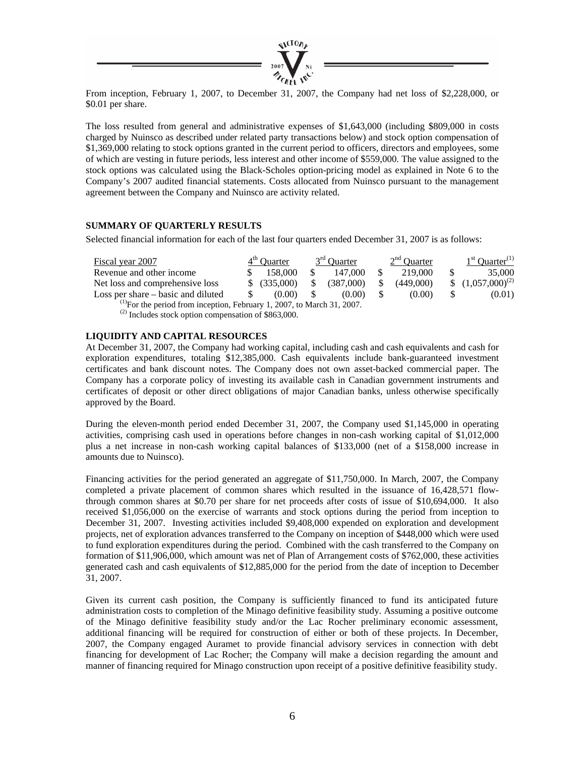

From inception, February 1, 2007, to December 31, 2007, the Company had net loss of \$2,228,000, or \$0.01 per share.

The loss resulted from general and administrative expenses of \$1,643,000 (including \$809,000 in costs charged by Nuinsco as described under related party transactions below) and stock option compensation of \$1,369,000 relating to stock options granted in the current period to officers, directors and employees, some of which are vesting in future periods, less interest and other income of \$559,000. The value assigned to the stock options was calculated using the Black-Scholes option-pricing model as explained in Note 6 to the Company's 2007 audited financial statements. Costs allocated from Nuinsco pursuant to the management agreement between the Company and Nuinsco are activity related.

#### **SUMMARY OF QUARTERLY RESULTS**

Selected financial information for each of the last four quarters ended December 31, 2007 is as follows:

| Fiscal year 2007                                                                   |     | $4th$ Quarter |               | $3rd$ Ouarter |     | $2nd$ Ouarter |     | $1st$ Quarter <sup>(1)</sup> |
|------------------------------------------------------------------------------------|-----|---------------|---------------|---------------|-----|---------------|-----|------------------------------|
| Revenue and other income                                                           |     | 158,000       | S.            | 147.000       |     | 219,000       | -SS | 35,000                       |
| Net loss and comprehensive loss                                                    |     | \$ (335,000)  | <sup>\$</sup> | (387,000)     | \$. | (449,000)     |     | \$ $(1,057,000)^{(2)}$       |
| Loss per share $-$ basic and diluted                                               | - S | (0.00)        |               | (0.00)        |     | (0.00)        | S.  | (0.01)                       |
| <sup>(1)</sup> For the period from inception, February 1, 2007, to March 31, 2007. |     |               |               |               |     |               |     |                              |

 $(2)$  Includes stock option compensation of \$863,000.

#### **LIQUIDITY AND CAPITAL RESOURCES**

At December 31, 2007, the Company had working capital, including cash and cash equivalents and cash for exploration expenditures, totaling \$12,385,000. Cash equivalents include bank-guaranteed investment certificates and bank discount notes. The Company does not own asset-backed commercial paper. The Company has a corporate policy of investing its available cash in Canadian government instruments and certificates of deposit or other direct obligations of major Canadian banks, unless otherwise specifically approved by the Board.

During the eleven-month period ended December 31, 2007, the Company used \$1,145,000 in operating activities, comprising cash used in operations before changes in non-cash working capital of \$1,012,000 plus a net increase in non-cash working capital balances of \$133,000 (net of a \$158,000 increase in amounts due to Nuinsco).

Financing activities for the period generated an aggregate of \$11,750,000. In March, 2007, the Company completed a private placement of common shares which resulted in the issuance of 16,428,571 flowthrough common shares at \$0.70 per share for net proceeds after costs of issue of \$10,694,000. It also received \$1,056,000 on the exercise of warrants and stock options during the period from inception to December 31, 2007. Investing activities included \$9,408,000 expended on exploration and development projects, net of exploration advances transferred to the Company on inception of \$448,000 which were used to fund exploration expenditures during the period. Combined with the cash transferred to the Company on formation of \$11,906,000, which amount was net of Plan of Arrangement costs of \$762,000, these activities generated cash and cash equivalents of \$12,885,000 for the period from the date of inception to December 31, 2007.

Given its current cash position, the Company is sufficiently financed to fund its anticipated future administration costs to completion of the Minago definitive feasibility study. Assuming a positive outcome of the Minago definitive feasibility study and/or the Lac Rocher preliminary economic assessment, additional financing will be required for construction of either or both of these projects. In December, 2007, the Company engaged Auramet to provide financial advisory services in connection with debt financing for development of Lac Rocher; the Company will make a decision regarding the amount and manner of financing required for Minago construction upon receipt of a positive definitive feasibility study.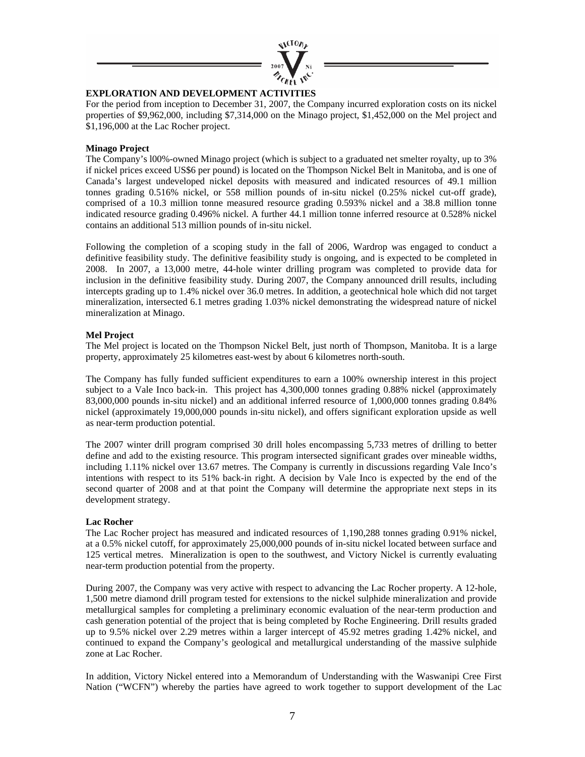

#### **EXPLORATION AND DEVELOPMENT ACTIVITIES**

For the period from inception to December 31, 2007, the Company incurred exploration costs on its nickel properties of \$9,962,000, including \$7,314,000 on the Minago project, \$1,452,000 on the Mel project and \$1,196,000 at the Lac Rocher project.

#### **Minago Project**

The Company's l00%-owned Minago project (which is subject to a graduated net smelter royalty, up to 3% if nickel prices exceed US\$6 per pound) is located on the Thompson Nickel Belt in Manitoba, and is one of Canada's largest undeveloped nickel deposits with measured and indicated resources of 49.1 million tonnes grading 0.516% nickel, or 558 million pounds of in-situ nickel (0.25% nickel cut-off grade), comprised of a 10.3 million tonne measured resource grading 0.593% nickel and a 38.8 million tonne indicated resource grading 0.496% nickel. A further 44.1 million tonne inferred resource at 0.528% nickel contains an additional 513 million pounds of in-situ nickel.

Following the completion of a scoping study in the fall of 2006, Wardrop was engaged to conduct a definitive feasibility study. The definitive feasibility study is ongoing, and is expected to be completed in 2008. In 2007, a 13,000 metre, 44-hole winter drilling program was completed to provide data for inclusion in the definitive feasibility study. During 2007, the Company announced drill results, including intercepts grading up to 1.4% nickel over 36.0 metres. In addition, a geotechnical hole which did not target mineralization, intersected 6.1 metres grading 1.03% nickel demonstrating the widespread nature of nickel mineralization at Minago.

#### **Mel Project**

The Mel project is located on the Thompson Nickel Belt, just north of Thompson, Manitoba. It is a large property, approximately 25 kilometres east-west by about 6 kilometres north-south.

The Company has fully funded sufficient expenditures to earn a 100% ownership interest in this project subject to a Vale Inco back-in. This project has 4,300,000 tonnes grading 0.88% nickel (approximately 83,000,000 pounds in-situ nickel) and an additional inferred resource of 1,000,000 tonnes grading 0.84% nickel (approximately 19,000,000 pounds in-situ nickel), and offers significant exploration upside as well as near-term production potential.

The 2007 winter drill program comprised 30 drill holes encompassing 5,733 metres of drilling to better define and add to the existing resource. This program intersected significant grades over mineable widths, including 1.11% nickel over 13.67 metres. The Company is currently in discussions regarding Vale Inco's intentions with respect to its 51% back-in right. A decision by Vale Inco is expected by the end of the second quarter of 2008 and at that point the Company will determine the appropriate next steps in its development strategy.

#### **Lac Rocher**

The Lac Rocher project has measured and indicated resources of 1,190,288 tonnes grading 0.91% nickel, at a 0.5% nickel cutoff, for approximately 25,000,000 pounds of in-situ nickel located between surface and 125 vertical metres. Mineralization is open to the southwest, and Victory Nickel is currently evaluating near-term production potential from the property.

During 2007, the Company was very active with respect to advancing the Lac Rocher property. A 12-hole, 1,500 metre diamond drill program tested for extensions to the nickel sulphide mineralization and provide metallurgical samples for completing a preliminary economic evaluation of the near-term production and cash generation potential of the project that is being completed by Roche Engineering. Drill results graded up to 9.5% nickel over 2.29 metres within a larger intercept of 45.92 metres grading 1.42% nickel, and continued to expand the Company's geological and metallurgical understanding of the massive sulphide zone at Lac Rocher.

In addition, Victory Nickel entered into a Memorandum of Understanding with the Waswanipi Cree First Nation ("WCFN") whereby the parties have agreed to work together to support development of the Lac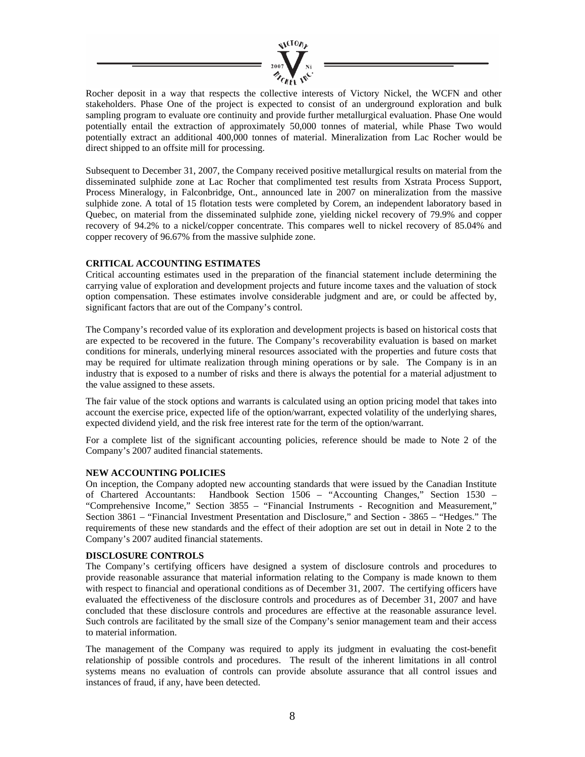

Rocher deposit in a way that respects the collective interests of Victory Nickel, the WCFN and other stakeholders. Phase One of the project is expected to consist of an underground exploration and bulk sampling program to evaluate ore continuity and provide further metallurgical evaluation. Phase One would potentially entail the extraction of approximately 50,000 tonnes of material, while Phase Two would potentially extract an additional 400,000 tonnes of material. Mineralization from Lac Rocher would be direct shipped to an offsite mill for processing.

Subsequent to December 31, 2007, the Company received positive metallurgical results on material from the disseminated sulphide zone at Lac Rocher that complimented test results from Xstrata Process Support, Process Mineralogy, in Falconbridge, Ont., announced late in 2007 on mineralization from the massive sulphide zone. A total of 15 flotation tests were completed by Corem, an independent laboratory based in Quebec, on material from the disseminated sulphide zone, yielding nickel recovery of 79.9% and copper recovery of 94.2% to a nickel/copper concentrate. This compares well to nickel recovery of 85.04% and copper recovery of 96.67% from the massive sulphide zone.

#### **CRITICAL ACCOUNTING ESTIMATES**

Critical accounting estimates used in the preparation of the financial statement include determining the carrying value of exploration and development projects and future income taxes and the valuation of stock option compensation. These estimates involve considerable judgment and are, or could be affected by, significant factors that are out of the Company's control.

The Company's recorded value of its exploration and development projects is based on historical costs that are expected to be recovered in the future. The Company's recoverability evaluation is based on market conditions for minerals, underlying mineral resources associated with the properties and future costs that may be required for ultimate realization through mining operations or by sale. The Company is in an industry that is exposed to a number of risks and there is always the potential for a material adjustment to the value assigned to these assets.

The fair value of the stock options and warrants is calculated using an option pricing model that takes into account the exercise price, expected life of the option/warrant, expected volatility of the underlying shares, expected dividend yield, and the risk free interest rate for the term of the option/warrant.

For a complete list of the significant accounting policies, reference should be made to Note 2 of the Company's 2007 audited financial statements.

#### **NEW ACCOUNTING POLICIES**

On inception, the Company adopted new accounting standards that were issued by the Canadian Institute of Chartered Accountants: Handbook Section 1506 – "Accounting Changes," Section 1530 – "Comprehensive Income," Section 3855 – "Financial Instruments - Recognition and Measurement," Section 3861 – "Financial Investment Presentation and Disclosure," and Section - 3865 – "Hedges." The requirements of these new standards and the effect of their adoption are set out in detail in Note 2 to the Company's 2007 audited financial statements.

#### **DISCLOSURE CONTROLS**

The Company's certifying officers have designed a system of disclosure controls and procedures to provide reasonable assurance that material information relating to the Company is made known to them with respect to financial and operational conditions as of December 31, 2007. The certifying officers have evaluated the effectiveness of the disclosure controls and procedures as of December 31, 2007 and have concluded that these disclosure controls and procedures are effective at the reasonable assurance level. Such controls are facilitated by the small size of the Company's senior management team and their access to material information.

The management of the Company was required to apply its judgment in evaluating the cost-benefit relationship of possible controls and procedures. The result of the inherent limitations in all control systems means no evaluation of controls can provide absolute assurance that all control issues and instances of fraud, if any, have been detected.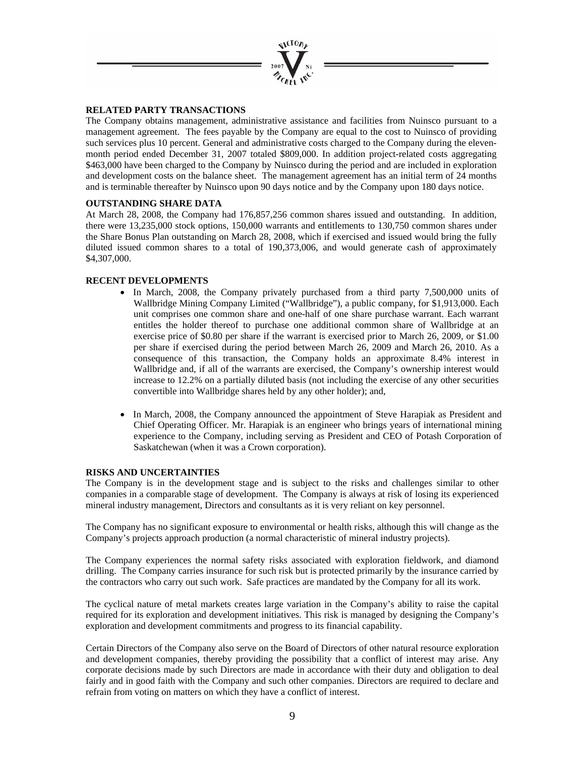

#### **RELATED PARTY TRANSACTIONS**

The Company obtains management, administrative assistance and facilities from Nuinsco pursuant to a management agreement. The fees payable by the Company are equal to the cost to Nuinsco of providing such services plus 10 percent. General and administrative costs charged to the Company during the elevenmonth period ended December 31, 2007 totaled \$809,000. In addition project-related costs aggregating \$463,000 have been charged to the Company by Nuinsco during the period and are included in exploration and development costs on the balance sheet. The management agreement has an initial term of 24 months and is terminable thereafter by Nuinsco upon 90 days notice and by the Company upon 180 days notice.

#### **OUTSTANDING SHARE DATA**

At March 28, 2008, the Company had 176,857,256 common shares issued and outstanding. In addition, there were 13,235,000 stock options, 150,000 warrants and entitlements to 130,750 common shares under the Share Bonus Plan outstanding on March 28, 2008, which if exercised and issued would bring the fully diluted issued common shares to a total of 190,373,006, and would generate cash of approximately \$4,307,000.

#### **RECENT DEVELOPMENTS**

- In March, 2008, the Company privately purchased from a third party 7,500,000 units of Wallbridge Mining Company Limited ("Wallbridge"), a public company, for \$1,913,000. Each unit comprises one common share and one-half of one share purchase warrant. Each warrant entitles the holder thereof to purchase one additional common share of Wallbridge at an exercise price of \$0.80 per share if the warrant is exercised prior to March 26, 2009, or \$1.00 per share if exercised during the period between March 26, 2009 and March 26, 2010. As a consequence of this transaction, the Company holds an approximate 8.4% interest in Wallbridge and, if all of the warrants are exercised, the Company's ownership interest would increase to 12.2% on a partially diluted basis (not including the exercise of any other securities convertible into Wallbridge shares held by any other holder); and,
- In March, 2008, the Company announced the appointment of Steve Harapiak as President and Chief Operating Officer. Mr. Harapiak is an engineer who brings years of international mining experience to the Company, including serving as President and CEO of Potash Corporation of Saskatchewan (when it was a Crown corporation).

#### **RISKS AND UNCERTAINTIES**

The Company is in the development stage and is subject to the risks and challenges similar to other companies in a comparable stage of development. The Company is always at risk of losing its experienced mineral industry management, Directors and consultants as it is very reliant on key personnel.

The Company has no significant exposure to environmental or health risks, although this will change as the Company's projects approach production (a normal characteristic of mineral industry projects).

The Company experiences the normal safety risks associated with exploration fieldwork, and diamond drilling. The Company carries insurance for such risk but is protected primarily by the insurance carried by the contractors who carry out such work. Safe practices are mandated by the Company for all its work.

The cyclical nature of metal markets creates large variation in the Company's ability to raise the capital required for its exploration and development initiatives. This risk is managed by designing the Company's exploration and development commitments and progress to its financial capability.

Certain Directors of the Company also serve on the Board of Directors of other natural resource exploration and development companies, thereby providing the possibility that a conflict of interest may arise. Any corporate decisions made by such Directors are made in accordance with their duty and obligation to deal fairly and in good faith with the Company and such other companies. Directors are required to declare and refrain from voting on matters on which they have a conflict of interest.